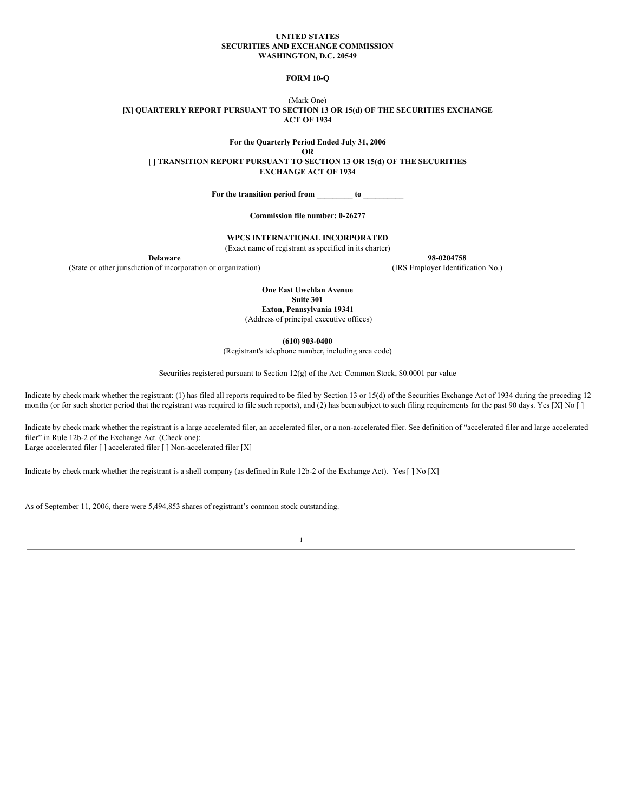#### **UNITED STATES SECURITIES AND EXCHANGE COMMISSION WASHINGTON, D.C. 20549**

#### **FORM 10-Q**

#### (Mark One) **[X] QUARTERLY REPORT PURSUANT TO SECTION 13 OR 15(d) OF THE SECURITIES EXCHANGE ACT OF 1934**

### **For the Quarterly Period Ended July 31, 2006**

**OR [ ] TRANSITION REPORT PURSUANT TO SECTION 13 OR 15(d) OF THE SECURITIES EXCHANGE ACT OF 1934**

**For the transition period from \_\_\_\_\_\_\_\_\_ to \_\_\_\_\_\_\_\_\_\_**

#### **Commission file number: 0-26277**

#### **WPCS INTERNATIONAL INCORPORATED**

(Exact name of registrant as specified in its charter)

**Delaware 98-0204758**

(State or other jurisdiction of incorporation or organization) (IRS Employer Identification No.)

**One East Uwchlan Avenue Suite 301 Exton, Pennsylvania 19341**

(Address of principal executive offices)

**(610) 903-0400**

(Registrant's telephone number, including area code)

Securities registered pursuant to Section 12(g) of the Act: Common Stock, \$0.0001 par value

Indicate by check mark whether the registrant: (1) has filed all reports required to be filed by Section 13 or 15(d) of the Securities Exchange Act of 1934 during the preceding 12 months (or for such shorter period that the registrant was required to file such reports), and (2) has been subject to such filing requirements for the past 90 days. Yes [X] No []

Indicate by check mark whether the registrant is a large accelerated filer, an accelerated filer, or a non-accelerated filer. See definition of "accelerated filer and large accelerated filer" in Rule 12b-2 of the Exchange Act. (Check one): Large accelerated filer [ ] accelerated filer [ ] Non-accelerated filer [X]

Indicate by check mark whether the registrant is a shell company (as defined in Rule 12b-2 of the Exchange Act). Yes [ ] No [X]

As of September 11, 2006, there were 5,494,853 shares of registrant's common stock outstanding.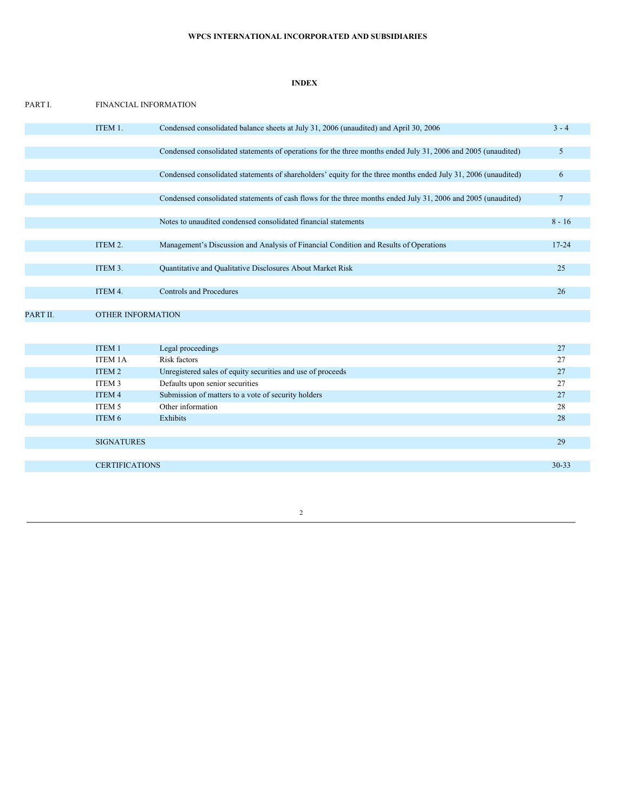# **INDEX**

| PART I.  |                          | <b>FINANCIAL INFORMATION</b>                                                                                   |                |
|----------|--------------------------|----------------------------------------------------------------------------------------------------------------|----------------|
|          | ITEM 1.                  | Condensed consolidated balance sheets at July 31, 2006 (unaudited) and April 30, 2006                          | $3 - 4$        |
|          |                          |                                                                                                                |                |
|          |                          | Condensed consolidated statements of operations for the three months ended July 31, 2006 and 2005 (unaudited)  | 5 <sup>5</sup> |
|          |                          |                                                                                                                |                |
|          |                          | Condensed consolidated statements of shareholders' equity for the three months ended July 31, 2006 (unaudited) | 6              |
|          |                          | Condensed consolidated statements of cash flows for the three months ended July 31, 2006 and 2005 (unaudited)  | $\overline{7}$ |
|          |                          | Notes to unaudited condensed consolidated financial statements                                                 | $8 - 16$       |
|          | ITEM 2.                  | Management's Discussion and Analysis of Financial Condition and Results of Operations                          | $17 - 24$      |
|          |                          |                                                                                                                |                |
|          | ITEM 3.                  | Quantitative and Qualitative Disclosures About Market Risk                                                     | 25             |
|          |                          |                                                                                                                |                |
|          | ITEM 4.                  | <b>Controls and Procedures</b>                                                                                 | 26             |
| PART II. | <b>OTHER INFORMATION</b> |                                                                                                                |                |
|          |                          |                                                                                                                |                |
|          | ITEM 1                   | Legal proceedings                                                                                              | 27             |
|          | ITEM 1A                  | Risk factors                                                                                                   | 27             |
|          | ITEM <sub>2</sub>        | Unregistered sales of equity securities and use of proceeds                                                    | 27             |
|          | ITEM <sub>3</sub>        | Defaults upon senior securities                                                                                | 27             |
|          | ITEM <sub>4</sub>        | Submission of matters to a vote of security holders                                                            | 27             |
|          | ITEM 5                   | Other information                                                                                              | 28             |
|          | ITEM 6                   | Exhibits                                                                                                       | 28             |
|          | <b>SIGNATURES</b>        |                                                                                                                | 29             |
|          |                          |                                                                                                                |                |
|          | <b>CERTIFICATIONS</b>    |                                                                                                                | $30 - 33$      |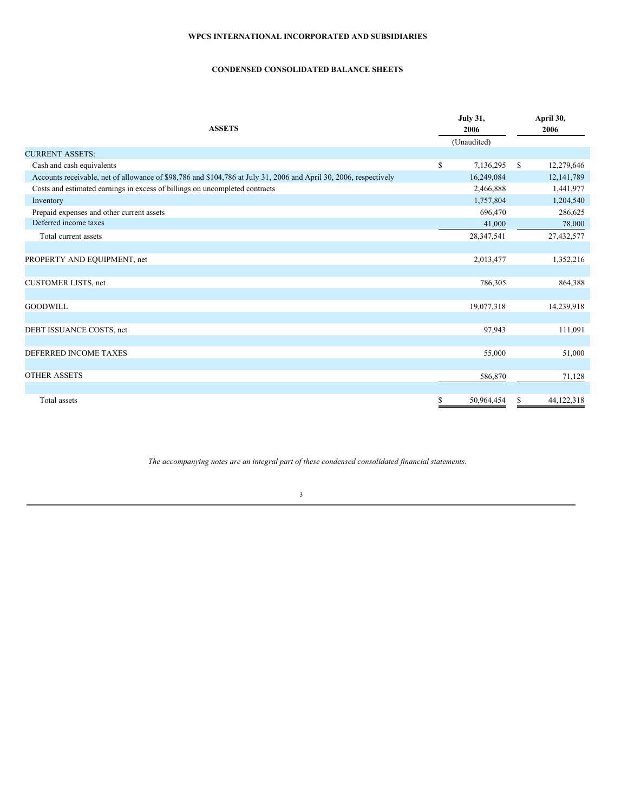# **CONDENSED CONSOLIDATED BALANCE SHEETS**

| <b>ASSETS</b>                                                                                                     | <b>July 31,</b><br>2006 | April 30,<br>2006 |
|-------------------------------------------------------------------------------------------------------------------|-------------------------|-------------------|
|                                                                                                                   | (Unaudited)             |                   |
| <b>CURRENT ASSETS:</b>                                                                                            |                         |                   |
| Cash and cash equivalents                                                                                         | \$<br>7,136,295         | \$<br>12,279,646  |
| Accounts receivable, net of allowance of \$98,786 and \$104,786 at July 31, 2006 and April 30, 2006, respectively | 16,249,084              | 12, 141, 789      |
| Costs and estimated earnings in excess of billings on uncompleted contracts                                       | 2,466,888               | 1,441,977         |
| Inventory                                                                                                         | 1,757,804               | 1,204,540         |
| Prepaid expenses and other current assets                                                                         | 696,470                 | 286,625           |
| Deferred income taxes                                                                                             | 41,000                  | 78,000            |
| Total current assets                                                                                              | 28,347,541              | 27,432,577        |
|                                                                                                                   |                         |                   |
| PROPERTY AND EQUIPMENT, net                                                                                       | 2,013,477               | 1,352,216         |
|                                                                                                                   |                         |                   |
| <b>CUSTOMER LISTS</b> , net                                                                                       | 786,305                 | 864,388           |
|                                                                                                                   |                         |                   |
| <b>GOODWILL</b>                                                                                                   | 19,077,318              | 14,239,918        |
|                                                                                                                   |                         |                   |
| DEBT ISSUANCE COSTS, net                                                                                          | 97,943                  | 111,091           |
|                                                                                                                   |                         |                   |
| DEFERRED INCOME TAXES                                                                                             | 55,000                  | 51,000            |
|                                                                                                                   |                         |                   |
| <b>OTHER ASSETS</b>                                                                                               | 586,870                 | 71,128            |
|                                                                                                                   |                         |                   |
| Total assets                                                                                                      | \$<br>50,964,454        | \$<br>44,122,318  |

*The accompanying notes are an integral part of these condensed consolidated financial statements.*

3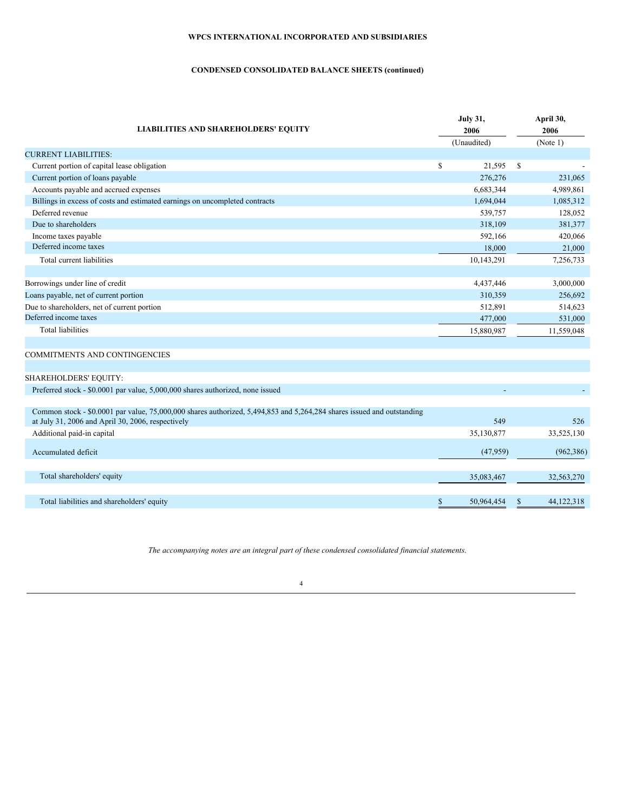# **CONDENSED CONSOLIDATED BALANCE SHEETS (continued)**

| (Unaudited)<br>(Note 1)<br><b>CURRENT LIABILITIES:</b><br>Current portion of capital lease obligation<br>$\mathbb{S}$<br>21,595<br>-S<br>276,276<br>Current portion of loans payable<br>Accounts payable and accrued expenses<br>6,683,344<br>4,989,861<br>Billings in excess of costs and estimated earnings on uncompleted contracts<br>1,694,044<br>Deferred revenue<br>539,757<br>Due to shareholders<br>318,109<br>592,166<br>Income taxes payable<br>Deferred income taxes<br>18,000<br>Total current liabilities<br>10,143,291<br>Borrowings under line of credit<br>4,437,446<br>Loans payable, net of current portion<br>310,359<br>Due to shareholders, net of current portion<br>512,891<br>Deferred income taxes<br>477,000<br><b>Total liabilities</b><br>15,880,987<br><b>COMMITMENTS AND CONTINGENCIES</b><br>SHAREHOLDERS' EQUITY:<br>Preferred stock - \$0.0001 par value, 5,000,000 shares authorized, none issued<br>Common stock - \$0.0001 par value, 75,000,000 shares authorized, 5,494,853 and 5,264,284 shares issued and outstanding<br>at July 31, 2006 and April 30, 2006, respectively<br>549<br>Additional paid-in capital<br>35,130,877<br>(47,959)<br>Accumulated deficit<br>Total shareholders' equity<br>35,083,467<br>32,563,270 | <b>LIABILITIES AND SHAREHOLDERS' EQUITY</b> | <b>July 31,</b><br>2006 | April 30,<br>2006 |
|---------------------------------------------------------------------------------------------------------------------------------------------------------------------------------------------------------------------------------------------------------------------------------------------------------------------------------------------------------------------------------------------------------------------------------------------------------------------------------------------------------------------------------------------------------------------------------------------------------------------------------------------------------------------------------------------------------------------------------------------------------------------------------------------------------------------------------------------------------------------------------------------------------------------------------------------------------------------------------------------------------------------------------------------------------------------------------------------------------------------------------------------------------------------------------------------------------------------------------------------------------------------|---------------------------------------------|-------------------------|-------------------|
|                                                                                                                                                                                                                                                                                                                                                                                                                                                                                                                                                                                                                                                                                                                                                                                                                                                                                                                                                                                                                                                                                                                                                                                                                                                                     |                                             |                         |                   |
|                                                                                                                                                                                                                                                                                                                                                                                                                                                                                                                                                                                                                                                                                                                                                                                                                                                                                                                                                                                                                                                                                                                                                                                                                                                                     |                                             |                         |                   |
|                                                                                                                                                                                                                                                                                                                                                                                                                                                                                                                                                                                                                                                                                                                                                                                                                                                                                                                                                                                                                                                                                                                                                                                                                                                                     |                                             |                         |                   |
|                                                                                                                                                                                                                                                                                                                                                                                                                                                                                                                                                                                                                                                                                                                                                                                                                                                                                                                                                                                                                                                                                                                                                                                                                                                                     |                                             |                         | 231,065           |
|                                                                                                                                                                                                                                                                                                                                                                                                                                                                                                                                                                                                                                                                                                                                                                                                                                                                                                                                                                                                                                                                                                                                                                                                                                                                     |                                             |                         |                   |
|                                                                                                                                                                                                                                                                                                                                                                                                                                                                                                                                                                                                                                                                                                                                                                                                                                                                                                                                                                                                                                                                                                                                                                                                                                                                     |                                             |                         | 1,085,312         |
|                                                                                                                                                                                                                                                                                                                                                                                                                                                                                                                                                                                                                                                                                                                                                                                                                                                                                                                                                                                                                                                                                                                                                                                                                                                                     |                                             |                         | 128,052           |
|                                                                                                                                                                                                                                                                                                                                                                                                                                                                                                                                                                                                                                                                                                                                                                                                                                                                                                                                                                                                                                                                                                                                                                                                                                                                     |                                             |                         | 381,377           |
|                                                                                                                                                                                                                                                                                                                                                                                                                                                                                                                                                                                                                                                                                                                                                                                                                                                                                                                                                                                                                                                                                                                                                                                                                                                                     |                                             |                         | 420,066           |
|                                                                                                                                                                                                                                                                                                                                                                                                                                                                                                                                                                                                                                                                                                                                                                                                                                                                                                                                                                                                                                                                                                                                                                                                                                                                     |                                             |                         | 21,000            |
|                                                                                                                                                                                                                                                                                                                                                                                                                                                                                                                                                                                                                                                                                                                                                                                                                                                                                                                                                                                                                                                                                                                                                                                                                                                                     |                                             |                         | 7,256,733         |
|                                                                                                                                                                                                                                                                                                                                                                                                                                                                                                                                                                                                                                                                                                                                                                                                                                                                                                                                                                                                                                                                                                                                                                                                                                                                     |                                             |                         |                   |
|                                                                                                                                                                                                                                                                                                                                                                                                                                                                                                                                                                                                                                                                                                                                                                                                                                                                                                                                                                                                                                                                                                                                                                                                                                                                     |                                             |                         | 3,000,000         |
|                                                                                                                                                                                                                                                                                                                                                                                                                                                                                                                                                                                                                                                                                                                                                                                                                                                                                                                                                                                                                                                                                                                                                                                                                                                                     |                                             |                         | 256,692           |
|                                                                                                                                                                                                                                                                                                                                                                                                                                                                                                                                                                                                                                                                                                                                                                                                                                                                                                                                                                                                                                                                                                                                                                                                                                                                     |                                             |                         | 514,623           |
|                                                                                                                                                                                                                                                                                                                                                                                                                                                                                                                                                                                                                                                                                                                                                                                                                                                                                                                                                                                                                                                                                                                                                                                                                                                                     |                                             |                         | 531,000           |
|                                                                                                                                                                                                                                                                                                                                                                                                                                                                                                                                                                                                                                                                                                                                                                                                                                                                                                                                                                                                                                                                                                                                                                                                                                                                     |                                             |                         | 11,559,048        |
|                                                                                                                                                                                                                                                                                                                                                                                                                                                                                                                                                                                                                                                                                                                                                                                                                                                                                                                                                                                                                                                                                                                                                                                                                                                                     |                                             |                         |                   |
|                                                                                                                                                                                                                                                                                                                                                                                                                                                                                                                                                                                                                                                                                                                                                                                                                                                                                                                                                                                                                                                                                                                                                                                                                                                                     |                                             |                         |                   |
|                                                                                                                                                                                                                                                                                                                                                                                                                                                                                                                                                                                                                                                                                                                                                                                                                                                                                                                                                                                                                                                                                                                                                                                                                                                                     |                                             |                         |                   |
|                                                                                                                                                                                                                                                                                                                                                                                                                                                                                                                                                                                                                                                                                                                                                                                                                                                                                                                                                                                                                                                                                                                                                                                                                                                                     |                                             |                         |                   |
|                                                                                                                                                                                                                                                                                                                                                                                                                                                                                                                                                                                                                                                                                                                                                                                                                                                                                                                                                                                                                                                                                                                                                                                                                                                                     |                                             |                         |                   |
|                                                                                                                                                                                                                                                                                                                                                                                                                                                                                                                                                                                                                                                                                                                                                                                                                                                                                                                                                                                                                                                                                                                                                                                                                                                                     |                                             |                         | 526               |
|                                                                                                                                                                                                                                                                                                                                                                                                                                                                                                                                                                                                                                                                                                                                                                                                                                                                                                                                                                                                                                                                                                                                                                                                                                                                     |                                             |                         | 33,525,130        |
|                                                                                                                                                                                                                                                                                                                                                                                                                                                                                                                                                                                                                                                                                                                                                                                                                                                                                                                                                                                                                                                                                                                                                                                                                                                                     |                                             |                         | (962, 386)        |
|                                                                                                                                                                                                                                                                                                                                                                                                                                                                                                                                                                                                                                                                                                                                                                                                                                                                                                                                                                                                                                                                                                                                                                                                                                                                     |                                             |                         |                   |
|                                                                                                                                                                                                                                                                                                                                                                                                                                                                                                                                                                                                                                                                                                                                                                                                                                                                                                                                                                                                                                                                                                                                                                                                                                                                     |                                             |                         |                   |
| Total liabilities and shareholders' equity<br>\$<br>50,964,454<br>\$<br>44,122,318                                                                                                                                                                                                                                                                                                                                                                                                                                                                                                                                                                                                                                                                                                                                                                                                                                                                                                                                                                                                                                                                                                                                                                                  |                                             |                         |                   |

*The accompanying notes are an integral part of these condensed consolidated financial statements.*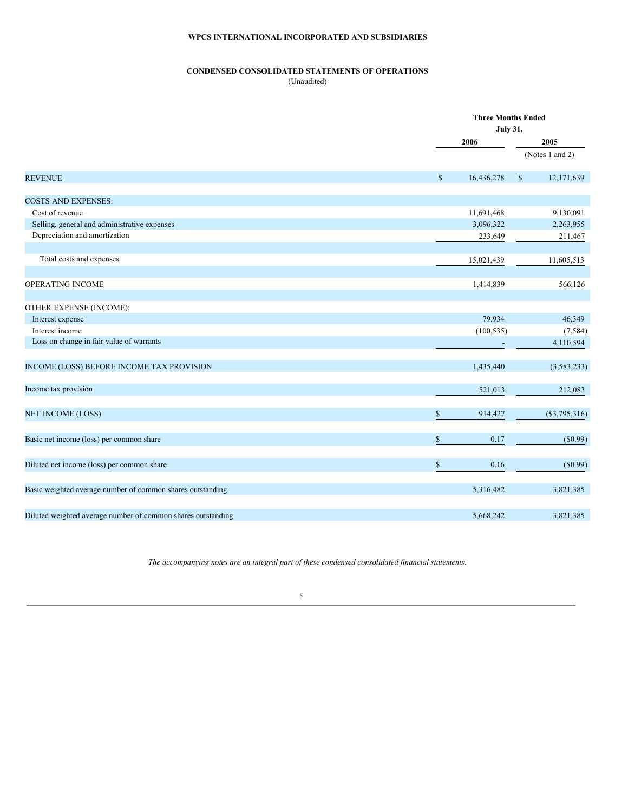### **CONDENSED CONSOLIDATED STATEMENTS OF OPERATIONS** (Unaudited)

|                                                              |                            | <b>Three Months Ended</b><br><b>July 31,</b> |
|--------------------------------------------------------------|----------------------------|----------------------------------------------|
|                                                              | 2006                       | 2005                                         |
|                                                              |                            | (Notes 1 and 2)                              |
| <b>REVENUE</b>                                               | $\mathbb{S}$<br>16,436,278 | $\mathbb{S}$<br>12,171,639                   |
| <b>COSTS AND EXPENSES:</b>                                   |                            |                                              |
| Cost of revenue                                              | 11,691,468                 | 9,130,091                                    |
| Selling, general and administrative expenses                 | 3,096,322                  | 2,263,955                                    |
| Depreciation and amortization                                | 233,649                    | 211,467                                      |
| Total costs and expenses                                     | 15,021,439                 | 11,605,513                                   |
| OPERATING INCOME                                             | 1,414,839                  | 566,126                                      |
| OTHER EXPENSE (INCOME):                                      |                            |                                              |
| Interest expense                                             | 79,934                     | 46,349                                       |
| Interest income                                              | (100, 535)                 | (7, 584)                                     |
| Loss on change in fair value of warrants                     |                            | 4,110,594                                    |
| INCOME (LOSS) BEFORE INCOME TAX PROVISION                    | 1,435,440                  | (3,583,233)                                  |
| Income tax provision                                         | 521,013                    | 212,083                                      |
| <b>NET INCOME (LOSS)</b>                                     | 914,427<br>\$              | $(\$3,795,316)$                              |
| Basic net income (loss) per common share                     | $\mathbb{S}$<br>0.17       | (\$0.99)                                     |
| Diluted net income (loss) per common share                   | \$<br>0.16                 | (\$0.99)                                     |
| Basic weighted average number of common shares outstanding   | 5,316,482                  | 3,821,385                                    |
| Diluted weighted average number of common shares outstanding | 5,668,242                  | 3,821,385                                    |

*The accompanying notes are an integral part of these condensed consolidated financial statements.*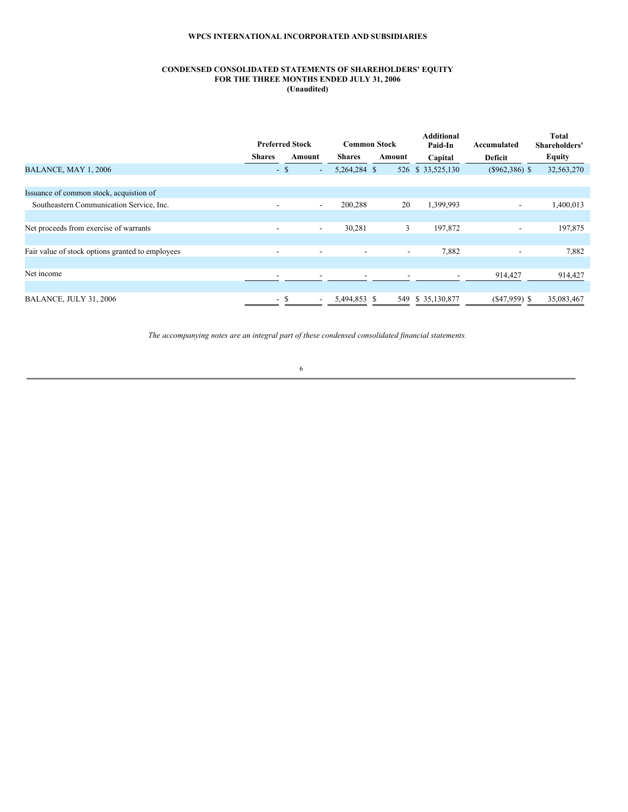#### **CONDENSED CONSOLIDATED STATEMENTS OF SHAREHOLDERS' EQUITY FOR THE THREE MONTHS ENDED JULY 31, 2006 (Unaudited)**

|                                                  | <b>Preferred Stock</b>   |                                    | <b>Common Stock</b>      |        | Additional<br>Paid-In    | Accumulated              | <b>Total</b><br>Shareholders' |  |
|--------------------------------------------------|--------------------------|------------------------------------|--------------------------|--------|--------------------------|--------------------------|-------------------------------|--|
|                                                  | <b>Shares</b>            | Amount                             | <b>Shares</b>            | Amount | Capital                  | Deficit                  | <b>Equity</b>                 |  |
| BALANCE, MAY 1, 2006                             |                          | $-$ \$<br>$\blacksquare$           | 5,264,284 \$             | 526    | \$33,525,130             | $(S962, 386)$ \$         | 32,563,270                    |  |
|                                                  |                          |                                    |                          |        |                          |                          |                               |  |
| Issuance of common stock, acquistion of          |                          |                                    |                          |        |                          |                          |                               |  |
| Southeastern Communication Service, Inc.         | $\overline{\phantom{a}}$ | $\overline{\phantom{a}}$           | 200,288                  | 20     | 1,399,993                | $\overline{\phantom{a}}$ | 1,400,013                     |  |
|                                                  |                          |                                    |                          |        |                          |                          |                               |  |
| Net proceeds from exercise of warrants           |                          | $\overline{\phantom{a}}$           | 30,281                   | 3      | 197,872                  | $\overline{\phantom{a}}$ | 197,875                       |  |
|                                                  |                          |                                    |                          |        |                          |                          |                               |  |
| Fair value of stock options granted to employees | $\overline{\phantom{a}}$ | $\overline{\phantom{a}}$           | $\overline{\phantom{a}}$ |        | 7,882                    | $\blacksquare$           | 7,882                         |  |
|                                                  |                          |                                    |                          |        |                          |                          |                               |  |
| Net income                                       | $\overline{\phantom{a}}$ | $\overline{\phantom{a}}$           | $\overline{\phantom{a}}$ |        | $\overline{\phantom{a}}$ | 914,427                  | 914,427                       |  |
|                                                  |                          |                                    |                          |        |                          |                          |                               |  |
| BALANCE, JULY 31, 2006                           |                          | $-$ \$<br>$\overline{\phantom{a}}$ | 5,494,853 \$             |        | 549 \$ 35,130,877        | $(S47,959)$ \$           | 35,083,467                    |  |

*The accompanying notes are an integral part of these condensed consolidated financial statements.*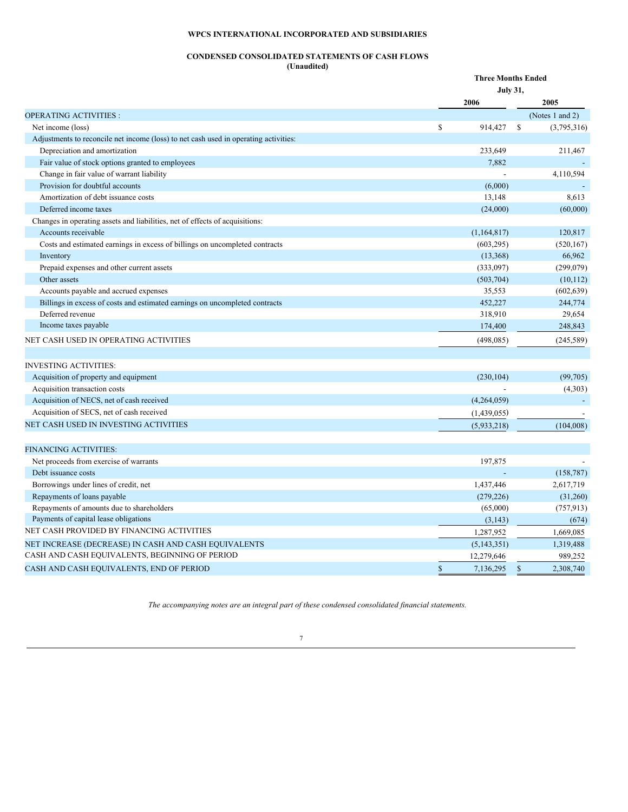# **CONDENSED CONSOLIDATED STATEMENTS OF CASH FLOWS (Unaudited)**

|                                                                                      |                           | <b>Three Months Ended</b> |  |  |
|--------------------------------------------------------------------------------------|---------------------------|---------------------------|--|--|
|                                                                                      |                           | <b>July 31,</b>           |  |  |
|                                                                                      | 2006                      | 2005                      |  |  |
| <b>OPERATING ACTIVITIES:</b>                                                         |                           | (Notes 1 and 2)           |  |  |
| Net income (loss)                                                                    | $\mathbb{S}$<br>914,427   | \$<br>(3,795,316)         |  |  |
| Adjustments to reconcile net income (loss) to net cash used in operating activities: |                           |                           |  |  |
| Depreciation and amortization                                                        | 233,649                   | 211,467                   |  |  |
| Fair value of stock options granted to employees                                     | 7,882                     |                           |  |  |
| Change in fair value of warrant liability                                            |                           | 4,110,594                 |  |  |
| Provision for doubtful accounts                                                      | (6,000)                   |                           |  |  |
| Amortization of debt issuance costs                                                  | 13,148                    | 8,613                     |  |  |
| Deferred income taxes                                                                | (24,000)                  | (60,000)                  |  |  |
| Changes in operating assets and liabilities, net of effects of acquisitions:         |                           |                           |  |  |
| Accounts receivable                                                                  | (1,164,817)               | 120,817                   |  |  |
| Costs and estimated earnings in excess of billings on uncompleted contracts          | (603, 295)                | (520, 167)                |  |  |
| Inventory                                                                            | (13,368)                  | 66,962                    |  |  |
| Prepaid expenses and other current assets                                            | (333,097)                 | (299,079)                 |  |  |
| Other assets                                                                         | (503, 704)                | (10, 112)                 |  |  |
| Accounts payable and accrued expenses                                                | 35,553                    | (602, 639)                |  |  |
| Billings in excess of costs and estimated earnings on uncompleted contracts          | 452,227                   | 244,774                   |  |  |
| Deferred revenue                                                                     | 318,910                   | 29,654                    |  |  |
| Income taxes payable                                                                 | 174,400                   | 248,843                   |  |  |
| NET CASH USED IN OPERATING ACTIVITIES                                                | (498, 085)                | (245, 589)                |  |  |
|                                                                                      |                           |                           |  |  |
| <b>INVESTING ACTIVITIES:</b>                                                         |                           |                           |  |  |
| Acquisition of property and equipment                                                | (230, 104)                | (99,705)                  |  |  |
| Acquisition transaction costs                                                        |                           | (4,303)                   |  |  |
| Acquisition of NECS, net of cash received                                            | (4,264,059)               |                           |  |  |
| Acquisition of SECS, net of cash received                                            | (1,439,055)               |                           |  |  |
| NET CASH USED IN INVESTING ACTIVITIES                                                | (5,933,218)               | (104,008)                 |  |  |
|                                                                                      |                           |                           |  |  |
| <b>FINANCING ACTIVITIES:</b>                                                         |                           |                           |  |  |
| Net proceeds from exercise of warrants                                               | 197,875                   |                           |  |  |
| Debt issuance costs                                                                  |                           | (158, 787)                |  |  |
| Borrowings under lines of credit, net                                                | 1,437,446                 | 2,617,719                 |  |  |
| Repayments of loans payable                                                          | (279, 226)                | (31,260)                  |  |  |
| Repayments of amounts due to shareholders                                            | (65,000)                  | (757, 913)                |  |  |
| Payments of capital lease obligations                                                | (3, 143)                  | (674)                     |  |  |
| NET CASH PROVIDED BY FINANCING ACTIVITIES                                            | 1,287,952                 | 1,669,085                 |  |  |
| NET INCREASE (DECREASE) IN CASH AND CASH EQUIVALENTS                                 | (5,143,351)               | 1,319,488                 |  |  |
| CASH AND CASH EQUIVALENTS, BEGINNING OF PERIOD                                       | 12,279,646                | 989,252                   |  |  |
| CASH AND CASH EQUIVALENTS, END OF PERIOD                                             | $\mathbb{S}$<br>7,136,295 | $\mathbb{S}$<br>2,308,740 |  |  |
|                                                                                      |                           |                           |  |  |

*The accompanying notes are an integral part of these condensed consolidated financial statements.*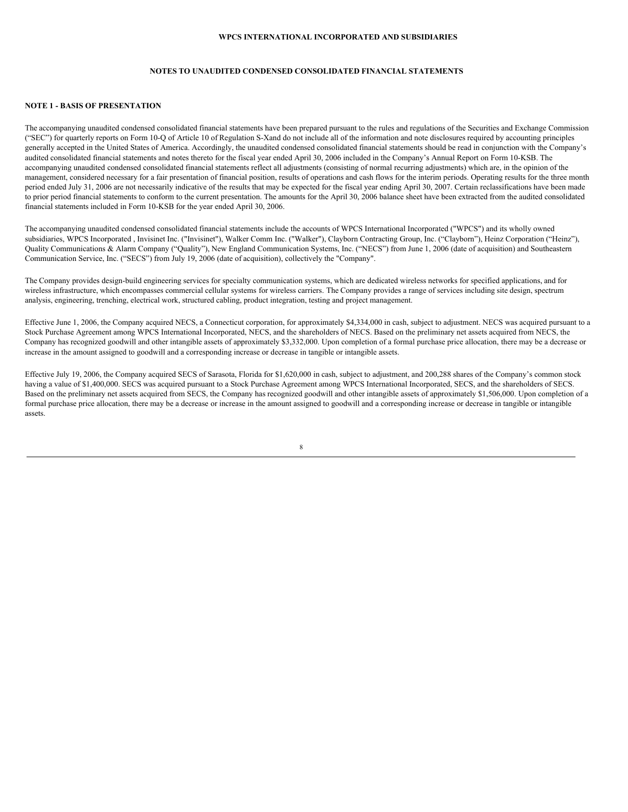### **NOTES TO UNAUDITED CONDENSED CONSOLIDATED FINANCIAL STATEMENTS**

#### **NOTE 1 - BASIS OF PRESENTATION**

The accompanying unaudited condensed consolidated financial statements have been prepared pursuant to the rules and regulations of the Securities and Exchange Commission ("SEC") for quarterly reports on Form 10-Q of Article 10 of Regulation S-Xand do not include all of the information and note disclosures required by accounting principles generally accepted in the United States of America. Accordingly, the unaudited condensed consolidated financial statements should be read in conjunction with the Company's audited consolidated financial statements and notes thereto for the fiscal year ended April 30, 2006 included in the Company's Annual Report on Form 10-KSB. The accompanying unaudited condensed consolidated financial statements reflect all adjustments (consisting of normal recurring adjustments) which are, in the opinion of the management, considered necessary for a fair presentation of financial position, results of operations and cash flows for the interim periods. Operating results for the three month period ended July 31, 2006 are not necessarily indicative of the results that may be expected for the fiscal year ending April 30, 2007. Certain reclassifications have been made to prior period financial statements to conform to the current presentation. The amounts for the April 30, 2006 balance sheet have been extracted from the audited consolidated financial statements included in Form 10-KSB for the year ended April 30, 2006.

The accompanying unaudited condensed consolidated financial statements include the accounts of WPCS International Incorporated ("WPCS") and its wholly owned subsidiaries, WPCS Incorporated , Invisinet Inc. ("Invisinet"), Walker Comm Inc. ("Walker"), Clayborn Contracting Group, Inc. ("Clayborn"), Heinz Corporation ("Heinz"), Quality Communications & Alarm Company ("Quality"), New England Communication Systems, Inc. ("NECS") from June 1, 2006 (date of acquisition) and Southeastern Communication Service, Inc. ("SECS") from July 19, 2006 (date of acquisition), collectively the "Company".

The Company provides design-build engineering services for specialty communication systems, which are dedicated wireless networks for specified applications, and for wireless infrastructure, which encompasses commercial cellular systems for wireless carriers. The Company provides a range of services including site design, spectrum analysis, engineering, trenching, electrical work, structured cabling, product integration, testing and project management.

Effective June 1, 2006, the Company acquired NECS, a Connecticut corporation, for approximately \$4,334,000 in cash, subject to adjustment. NECS was acquired pursuant to a Stock Purchase Agreement among WPCS International Incorporated, NECS, and the shareholders of NECS. Based on the preliminary net assets acquired from NECS, the Company has recognized goodwill and other intangible assets of approximately \$3,332,000. Upon completion of a formal purchase price allocation, there may be a decrease or increase in the amount assigned to goodwill and a corresponding increase or decrease in tangible or intangible assets.

Effective July 19, 2006, the Company acquired SECS of Sarasota, Florida for \$1,620,000 in cash, subject to adjustment, and 200,288 shares of the Company's common stock having a value of \$1,400,000. SECS was acquired pursuant to a Stock Purchase Agreement among WPCS International Incorporated, SECS, and the shareholders of SECS. Based on the preliminary net assets acquired from SECS, the Company has recognized goodwill and other intangible assets of approximately \$1,506,000. Upon completion of a formal purchase price allocation, there may be a decrease or increase in the amount assigned to goodwill and a corresponding increase or decrease in tangible or intangible assets.

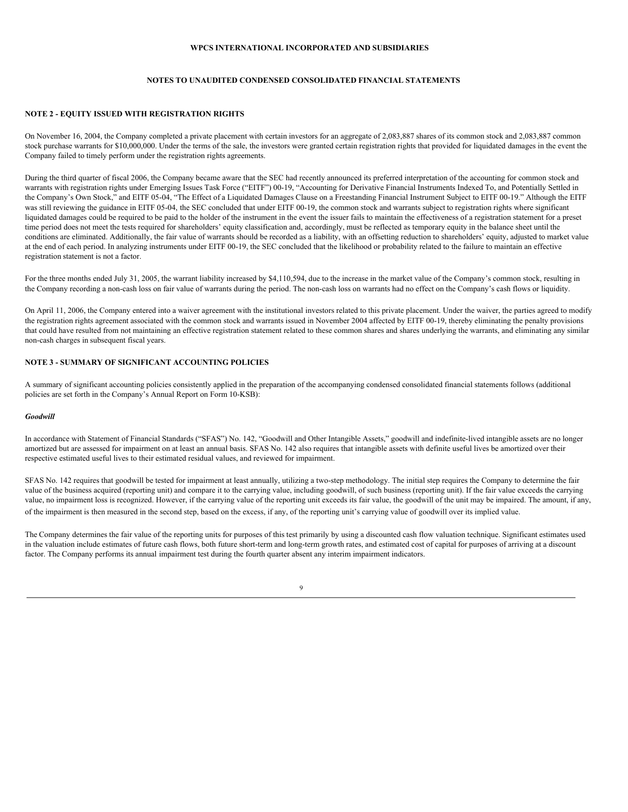### **NOTES TO UNAUDITED CONDENSED CONSOLIDATED FINANCIAL STATEMENTS**

### **NOTE 2 - EQUITY ISSUED WITH REGISTRATION RIGHTS**

On November 16, 2004, the Company completed a private placement with certain investors for an aggregate of 2,083,887 shares of its common stock and 2,083,887 common stock purchase warrants for \$10,000,000. Under the terms of the sale, the investors were granted certain registration rights that provided for liquidated damages in the event the Company failed to timely perform under the registration rights agreements.

During the third quarter of fiscal 2006, the Company became aware that the SEC had recently announced its preferred interpretation of the accounting for common stock and warrants with registration rights under Emerging Issues Task Force ("EITF") 00-19, "Accounting for Derivative Financial Instruments Indexed To, and Potentially Settled in the Company's Own Stock," and EITF 05-04, "The Effect of a Liquidated Damages Clause on a Freestanding Financial Instrument Subject to EITF 00-19." Although the EITF was still reviewing the guidance in EITF 05-04, the SEC concluded that under EITF 00-19, the common stock and warrants subject to registration rights where significant liquidated damages could be required to be paid to the holder of the instrument in the event the issuer fails to maintain the effectiveness of a registration statement for a preset time period does not meet the tests required for shareholders' equity classification and, accordingly, must be reflected as temporary equity in the balance sheet until the conditions are eliminated. Additionally, the fair value of warrants should be recorded as a liability, with an offsetting reduction to shareholders' equity, adjusted to market value at the end of each period. In analyzing instruments under EITF 00-19, the SEC concluded that the likelihood or probability related to the failure to maintain an effective registration statement is not a factor.

For the three months ended July 31, 2005, the warrant liability increased by \$4,110,594, due to the increase in the market value of the Company's common stock, resulting in the Company recording a non-cash loss on fair value of warrants during the period. The non-cash loss on warrants had no effect on the Company's cash flows or liquidity.

On April 11, 2006, the Company entered into a waiver agreement with the institutional investors related to this private placement. Under the waiver, the parties agreed to modify the registration rights agreement associated with the common stock and warrants issued in November 2004 affected by EITF 00-19, thereby eliminating the penalty provisions that could have resulted from not maintaining an effective registration statement related to these common shares and shares underlying the warrants, and eliminating any similar non-cash charges in subsequent fiscal years.

### **NOTE 3 - SUMMARY OF SIGNIFICANT ACCOUNTING POLICIES**

A summary of significant accounting policies consistently applied in the preparation of the accompanying condensed consolidated financial statements follows (additional policies are set forth in the Company's Annual Report on Form 10-KSB):

#### *Goodwill*

In accordance with Statement of Financial Standards ("SFAS") No. 142, "Goodwill and Other Intangible Assets," goodwill and indefinite-lived intangible assets are no longer amortized but are assessed for impairment on at least an annual basis. SFAS No. 142 also requires that intangible assets with definite useful lives be amortized over their respective estimated useful lives to their estimated residual values, and reviewed for impairment.

SFAS No. 142 requires that goodwill be tested for impairment at least annually, utilizing a two-step methodology. The initial step requires the Company to determine the fair value of the business acquired (reporting unit) and compare it to the carrying value, including goodwill, of such business (reporting unit). If the fair value exceeds the carrying value, no impairment loss is recognized. However, if the carrying value of the reporting unit exceeds its fair value, the goodwill of the unit may be impaired. The amount, if any, of the impairment is then measured in the second step, based on the excess, if any, of the reporting unit's carrying value of goodwill over its implied value.

The Company determines the fair value of the reporting units for purposes of this test primarily by using a discounted cash flow valuation technique. Significant estimates used in the valuation include estimates of future cash flows, both future short-term and long-term growth rates, and estimated cost of capital for purposes of arriving at a discount factor. The Company performs its annual impairment test during the fourth quarter absent any interim impairment indicators.

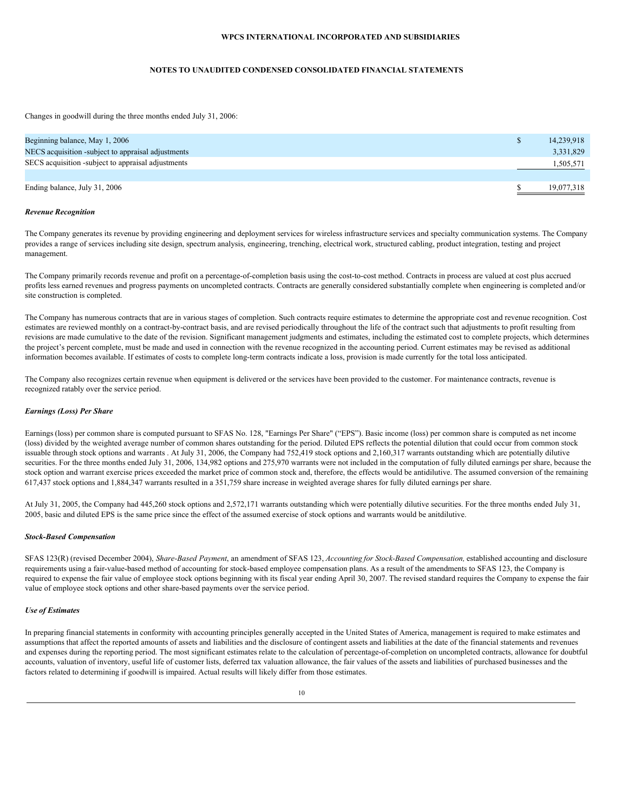#### **NOTES TO UNAUDITED CONDENSED CONSOLIDATED FINANCIAL STATEMENTS**

Changes in goodwill during the three months ended July 31, 2006:

| Beginning balance, May 1, 2006<br>NECS acquisition -subject to appraisal adjustments | 14,239,918<br>3,331,829 |
|--------------------------------------------------------------------------------------|-------------------------|
| SECS acquisition -subject to appraisal adjustments                                   | 1,505,571               |
|                                                                                      |                         |
| Ending balance, July 31, 2006                                                        | 19,077,318              |

#### *Revenue Recognition*

The Company generates its revenue by providing engineering and deployment services for wireless infrastructure services and specialty communication systems. The Company provides a range of services including site design, spectrum analysis, engineering, trenching, electrical work, structured cabling, product integration, testing and project management.

The Company primarily records revenue and profit on a percentage-of-completion basis using the cost-to-cost method. Contracts in process are valued at cost plus accrued profits less earned revenues and progress payments on uncompleted contracts. Contracts are generally considered substantially complete when engineering is completed and/or site construction is completed.

The Company has numerous contracts that are in various stages of completion. Such contracts require estimates to determine the appropriate cost and revenue recognition. Cost estimates are reviewed monthly on a contract-by-contract basis, and are revised periodically throughout the life of the contract such that adjustments to profit resulting from revisions are made cumulative to the date of the revision. Significant management judgments and estimates, including the estimated cost to complete projects, which determines the project's percent complete, must be made and used in connection with the revenue recognized in the accounting period. Current estimates may be revised as additional information becomes available. If estimates of costs to complete long-term contracts indicate a loss, provision is made currently for the total loss anticipated.

The Company also recognizes certain revenue when equipment is delivered or the services have been provided to the customer. For maintenance contracts, revenue is recognized ratably over the service period.

### *Earnings (Loss) Per Share*

Earnings (loss) per common share is computed pursuant to SFAS No. 128, "Earnings Per Share" ("EPS"). Basic income (loss) per common share is computed as net income (loss) divided by the weighted average number of common shares outstanding for the period. Diluted EPS reflects the potential dilution that could occur from common stock issuable through stock options and warrants . At July 31, 2006, the Company had 752,419 stock options and 2,160,317 warrants outstanding which are potentially dilutive securities. For the three months ended July 31, 2006, 134,982 options and 275,970 warrants were not included in the computation of fully diluted earnings per share, because the stock option and warrant exercise prices exceeded the market price of common stock and, therefore, the effects would be antidilutive. The assumed conversion of the remaining 617,437 stock options and 1,884,347 warrants resulted in a 351,759 share increase in weighted average shares for fully diluted earnings per share.

At July 31, 2005, the Company had 445,260 stock options and 2,572,171 warrants outstanding which were potentially dilutive securities. For the three months ended July 31, 2005, basic and diluted EPS is the same price since the effect of the assumed exercise of stock options and warrants would be anitdilutive.

#### *Stock-Based Compensation*

SFAS 123(R) (revised December 2004), *Share-Based Payment*, an amendment of SFAS 123, *Accounting for Stock-Based Compensation,* established accounting and disclosure requirements using a fair-value-based method of accounting for stock-based employee compensation plans. As a result of the amendments to SFAS 123, the Company is required to expense the fair value of employee stock options beginning with its fiscal year ending April 30, 2007. The revised standard requires the Company to expense the fair value of employee stock options and other share-based payments over the service period.

#### *Use of Estimates*

In preparing financial statements in conformity with accounting principles generally accepted in the United States of America, management is required to make estimates and assumptions that affect the reported amounts of assets and liabilities and the disclosure of contingent assets and liabilities at the date of the financial statements and revenues and expenses during the reporting period. The most significant estimates relate to the calculation of percentage-of-completion on uncompleted contracts, allowance for doubtful accounts, valuation of inventory, useful life of customer lists, deferred tax valuation allowance, the fair values of the assets and liabilities of purchased businesses and the factors related to determining if goodwill is impaired. Actual results will likely differ from those estimates.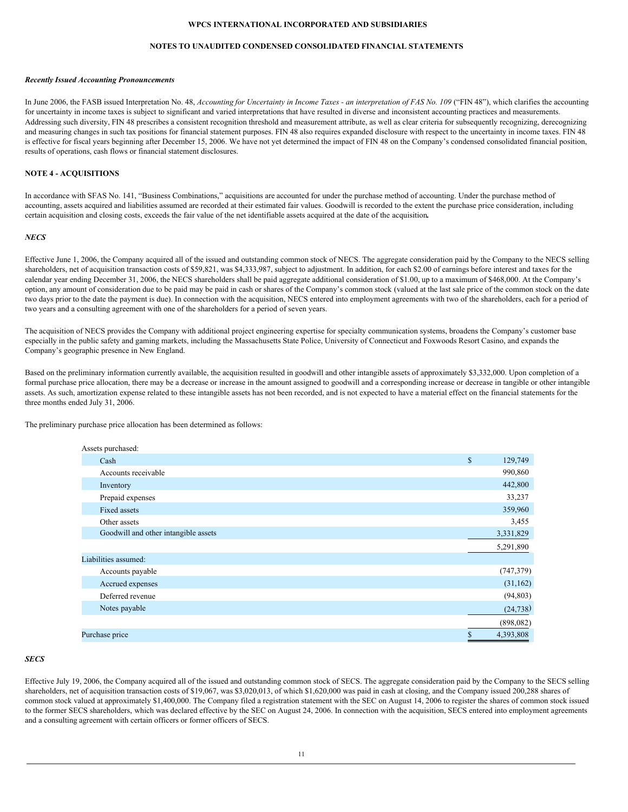### **NOTES TO UNAUDITED CONDENSED CONSOLIDATED FINANCIAL STATEMENTS**

#### *Recently Issued Accounting Pronouncements*

In June 2006, the FASB issued Interpretation No. 48, Accounting for Uncertainty in Income Taxes - an interpretation of FAS No. 109 ("FIN 48"), which clarifies the accounting for uncertainty in income taxes is subject to significant and varied interpretations that have resulted in diverse and inconsistent accounting practices and measurements. Addressing such diversity, FIN 48 prescribes a consistent recognition threshold and measurement attribute, as well as clear criteria for subsequently recognizing, derecognizing and measuring changes in such tax positions for financial statement purposes. FIN 48 also requires expanded disclosure with respect to the uncertainty in income taxes. FIN 48 is effective for fiscal years beginning after December 15, 2006. We have not yet determined the impact of FIN 48 on the Company's condensed consolidated financial position, results of operations, cash flows or financial statement disclosures.

### **NOTE 4 - ACQUISITIONS**

In accordance with SFAS No. 141, "Business Combinations," acquisitions are accounted for under the purchase method of accounting. Under the purchase method of accounting, assets acquired and liabilities assumed are recorded at their estimated fair values. Goodwill is recorded to the extent the purchase price consideration, including certain acquisition and closing costs, exceeds the fair value of the net identifiable assets acquired at the date of the acquisition*.*

#### *NECS*

Effective June 1, 2006, the Company acquired all of the issued and outstanding common stock of NECS. The aggregate consideration paid by the Company to the NECS selling shareholders, net of acquisition transaction costs of \$59,821, was \$4,333,987, subject to adjustment. In addition, for each \$2.00 of earnings before interest and taxes for the calendar year ending December 31, 2006, the NECS shareholders shall be paid aggregate additional consideration of \$1.00, up to a maximum of \$468,000. At the Company's option, any amount of consideration due to be paid may be paid in cash or shares of the Company's common stock (valued at the last sale price of the common stock on the date two days prior to the date the payment is due). In connection with the acquisition, NECS entered into employment agreements with two of the shareholders, each for a period of two years and a consulting agreement with one of the shareholders for a period of seven years.

The acquisition of NECS provides the Company with additional project engineering expertise for specialty communication systems, broadens the Company's customer base especially in the public safety and gaming markets, including the Massachusetts State Police, University of Connecticut and Foxwoods Resort Casino, and expands the Company's geographic presence in New England.

Based on the preliminary information currently available, the acquisition resulted in goodwill and other intangible assets of approximately \$3,332,000. Upon completion of a formal purchase price allocation, there may be a decrease or increase in the amount assigned to goodwill and a corresponding increase or decrease in tangible or other intangible assets. As such, amortization expense related to these intangible assets has not been recorded, and is not expected to have a material effect on the financial statements for the three months ended July 31, 2006.

The preliminary purchase price allocation has been determined as follows:

| Assets purchased:                    |              |            |
|--------------------------------------|--------------|------------|
| Cash                                 | $\mathbb{S}$ | 129,749    |
| Accounts receivable                  |              | 990,860    |
| Inventory                            |              | 442,800    |
| Prepaid expenses                     |              | 33,237     |
| Fixed assets                         |              | 359,960    |
| Other assets                         |              | 3,455      |
| Goodwill and other intangible assets |              | 3,331,829  |
|                                      |              | 5,291,890  |
| Liabilities assumed:                 |              |            |
| Accounts payable                     |              | (747, 379) |
| Accrued expenses                     |              | (31, 162)  |
| Deferred revenue                     |              | (94, 803)  |
| Notes payable                        |              | (24, 738)  |
|                                      |              | (898,082)  |
| Purchase price                       | \$           | 4,393,808  |

#### *SECS*

Effective July 19, 2006, the Company acquired all of the issued and outstanding common stock of SECS. The aggregate consideration paid by the Company to the SECS selling shareholders, net of acquisition transaction costs of \$19,067, was \$3,020,013, of which \$1,620,000 was paid in cash at closing, and the Company issued 200,288 shares of common stock valued at approximately \$1,400,000. The Company filed a registration statement with the SEC on August 14, 2006 to register the shares of common stock issued to the former SECS shareholders, which was declared effective by the SEC on August 24, 2006. In connection with the acquisition, SECS entered into employment agreements and a consulting agreement with certain officers or former officers of SECS.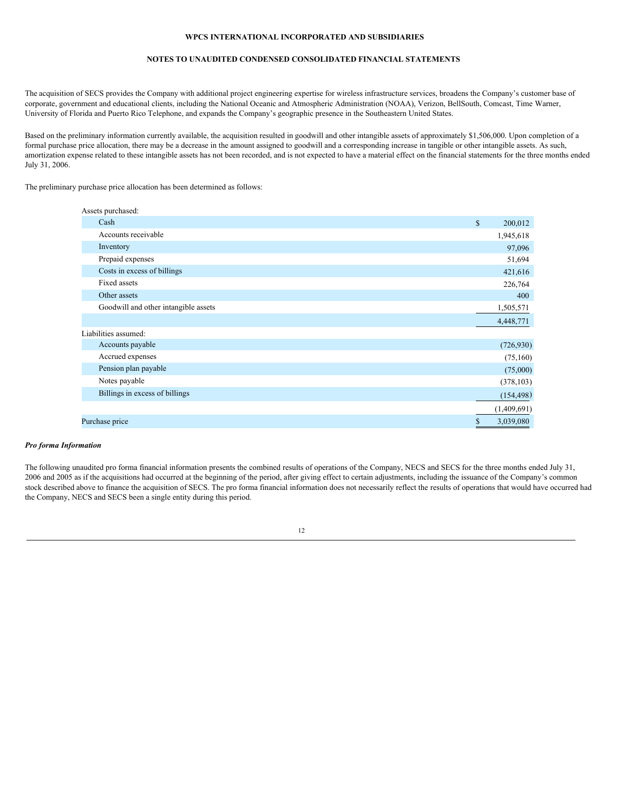### **NOTES TO UNAUDITED CONDENSED CONSOLIDATED FINANCIAL STATEMENTS**

The acquisition of SECS provides the Company with additional project engineering expertise for wireless infrastructure services, broadens the Company's customer base of corporate, government and educational clients, including the National Oceanic and Atmospheric Administration (NOAA), Verizon, BellSouth, Comcast, Time Warner, University of Florida and Puerto Rico Telephone, and expands the Company's geographic presence in the Southeastern United States.

Based on the preliminary information currently available, the acquisition resulted in goodwill and other intangible assets of approximately \$1,506,000. Upon completion of a formal purchase price allocation, there may be a decrease in the amount assigned to goodwill and a corresponding increase in tangible or other intangible assets. As such, amortization expense related to these intangible assets has not been recorded, and is not expected to have a material effect on the financial statements for the three months ended July 31, 2006.

The preliminary purchase price allocation has been determined as follows:

| Assets purchased:                    |               |
|--------------------------------------|---------------|
| Cash                                 | \$<br>200,012 |
| Accounts receivable                  | 1,945,618     |
| Inventory                            | 97,096        |
| Prepaid expenses                     | 51,694        |
| Costs in excess of billings          | 421,616       |
| Fixed assets                         | 226,764       |
| Other assets                         | 400           |
| Goodwill and other intangible assets | 1,505,571     |
|                                      | 4,448,771     |
| Liabilities assumed:                 |               |
| Accounts payable                     | (726, 930)    |
| Accrued expenses                     | (75,160)      |
| Pension plan payable                 | (75,000)      |
| Notes payable                        | (378, 103)    |
| Billings in excess of billings       | (154, 498)    |
|                                      | (1,409,691)   |
| Purchase price                       | 3,039,080     |
|                                      |               |

### *Pro forma Information*

The following unaudited pro forma financial information presents the combined results of operations of the Company, NECS and SECS for the three months ended July 31, 2006 and 2005 as if the acquisitions had occurred at the beginning of the period, after giving effect to certain adjustments, including the issuance of the Company's common stock described above to finance the acquisition of SECS. The pro forma financial information does not necessarily reflect the results of operations that would have occurred had the Company, NECS and SECS been a single entity during this period.

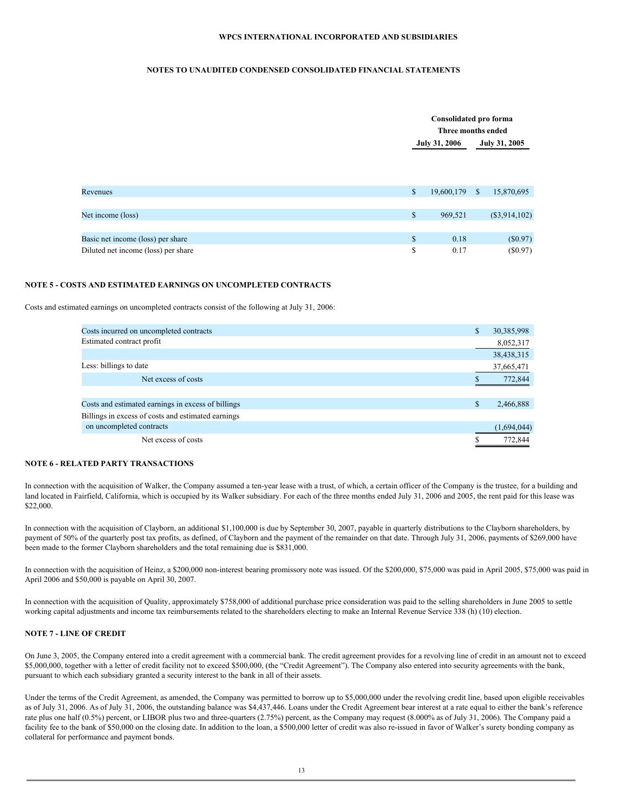#### **NOTES TO UNAUDITED CONDENSED CONSOLIDATED FINANCIAL STATEMENTS**

|               | Consolidated pro forma |
|---------------|------------------------|
|               | Three months ended     |
| July 31, 2006 | July 31, 2005          |
|               |                        |

| Revenues                            | $19,600,179$ \$ | 15,870,695      |
|-------------------------------------|-----------------|-----------------|
|                                     |                 |                 |
| Net income (loss)                   | 969.521         | $(\$3,914,102)$ |
|                                     |                 |                 |
| Basic net income (loss) per share   | 0.18            | (S0.97)         |
| Diluted net income (loss) per share | 0.17            | (S0.97)         |

#### **NOTE 5 - COSTS AND ESTIMATED EARNINGS ON UNCOMPLETED CONTRACTS**

Costs and estimated earnings on uncompleted contracts consist of the following at July 31, 2006:

| Costs incurred on uncompleted contracts            | \$ | 30,385,998  |
|----------------------------------------------------|----|-------------|
| Estimated contract profit                          |    | 8,052,317   |
|                                                    |    | 38,438,315  |
| Less: billings to date                             |    | 37,665,471  |
| Net excess of costs                                |    | 772,844     |
|                                                    |    |             |
| Costs and estimated earnings in excess of billings | S  | 2,466,888   |
| Billings in excess of costs and estimated earnings |    |             |
| on uncompleted contracts                           |    | (1,694,044) |
| Net excess of costs                                |    | 772,844     |
|                                                    |    |             |

### **NOTE 6 - RELATED PARTY TRANSACTIONS**

In connection with the acquisition of Walker, the Company assumed a ten-year lease with a trust, of which, a certain officer of the Company is the trustee, for a building and land located in Fairfield, California, which is occupied by its Walker subsidiary. For each of the three months ended July 31, 2006 and 2005, the rent paid for this lease was \$22,000.

In connection with the acquisition of Clayborn, an additional \$1,100,000 is due by September 30, 2007, payable in quarterly distributions to the Clayborn shareholders, by payment of 50% of the quarterly post tax profits, as defined, of Clayborn and the payment of the remainder on that date. Through July 31, 2006, payments of \$269,000 have been made to the former Clayborn shareholders and the total remaining due is \$831,000.

In connection with the acquisition of Heinz, a \$200,000 non-interest bearing promissory note was issued. Of the \$200,000, \$75,000 was paid in April 2005, \$75,000 was paid in April 2006 and \$50,000 is payable on April 30, 2007.

In connection with the acquisition of Quality, approximately \$758,000 of additional purchase price consideration was paid to the selling shareholders in June 2005 to settle working capital adjustments and income tax reimbursements related to the shareholders electing to make an Internal Revenue Service 338 (h) (10) election.

#### **NOTE 7 - LINE OF CREDIT**

On June 3, 2005, the Company entered into a credit agreement with a commercial bank. The credit agreement provides for a revolving line of credit in an amount not to exceed \$5,000,000, together with a letter of credit facility not to exceed \$500,000, (the "Credit Agreement"). The Company also entered into security agreements with the bank, pursuant to which each subsidiary granted a security interest to the bank in all of their assets.

Under the terms of the Credit Agreement, as amended, the Company was permitted to borrow up to \$5,000,000 under the revolving credit line, based upon eligible receivables as of July 31, 2006. As of July 31, 2006, the outstanding balance was \$4,437,446. Loans under the Credit Agreement bear interest at a rate equal to either the bank's reference rate plus one half (0.5%) percent, or LIBOR plus two and three-quarters (2.75%) percent, as the Company may request (8.000% as of July 31, 2006). The Company paid a facility fee to the bank of \$50,000 on the closing date. In addition to the loan, a \$500,000 letter of credit was also re-issued in favor of Walker's surety bonding company as collateral for performance and payment bonds.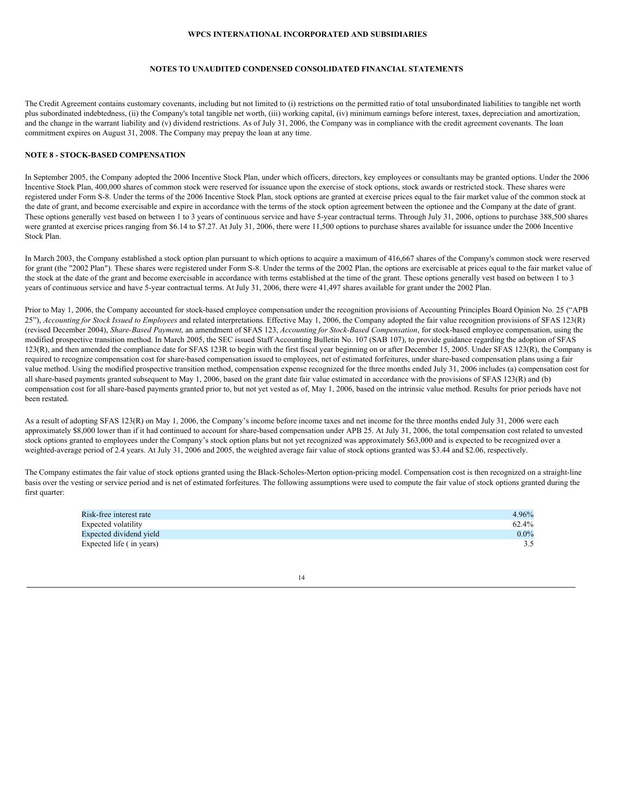### **NOTES TO UNAUDITED CONDENSED CONSOLIDATED FINANCIAL STATEMENTS**

The Credit Agreement contains customary covenants, including but not limited to (i) restrictions on the permitted ratio of total unsubordinated liabilities to tangible net worth plus subordinated indebtedness, (ii) the Company's total tangible net worth, (iii) working capital, (iv) minimum earnings before interest, taxes, depreciation and amortization, and the change in the warrant liability and (v) dividend restrictions. As of July 31, 2006, the Company was in compliance with the credit agreement covenants. The loan commitment expires on August 31, 2008. The Company may prepay the loan at any time.

#### **NOTE 8 - STOCK-BASED COMPENSATION**

In September 2005, the Company adopted the 2006 Incentive Stock Plan, under which officers, directors, key employees or consultants may be granted options. Under the 2006 Incentive Stock Plan, 400,000 shares of common stock were reserved for issuance upon the exercise of stock options, stock awards or restricted stock. These shares were registered under Form S-8. Under the terms of the 2006 Incentive Stock Plan, stock options are granted at exercise prices equal to the fair market value of the common stock at the date of grant, and become exercisable and expire in accordance with the terms of the stock option agreement between the optionee and the Company at the date of grant. These options generally vest based on between 1 to 3 years of continuous service and have 5-year contractual terms. Through July 31, 2006, options to purchase 388,500 shares were granted at exercise prices ranging from \$6.14 to \$7.27. At July 31, 2006, there were 11,500 options to purchase shares available for issuance under the 2006 Incentive Stock Plan.

In March 2003, the Company established a stock option plan pursuant to which options to acquire a maximum of 416,667 shares of the Company's common stock were reserved for grant (the "2002 Plan"). These shares were registered under Form S-8. Under the terms of the 2002 Plan, the options are exercisable at prices equal to the fair market value of the stock at the date of the grant and become exercisable in accordance with terms established at the time of the grant. These options generally vest based on between 1 to 3 years of continuous service and have 5-year contractual terms. At July 31, 2006, there were 41,497 shares available for grant under the 2002 Plan.

Prior to May 1, 2006, the Company accounted for stock-based employee compensation under the recognition provisions of Accounting Principles Board Opinion No. 25 ("APB 25"), *Accounting for Stock Issued to Employees* and related interpretations. Effective May 1, 2006, the Company adopted the fair value recognition provisions of SFAS 123(R) (revised December 2004), *Share-Based Payment*, an amendment of SFAS 123, *Accounting for Stock-Based Compensation*, for stock-based employee compensation, using the modified prospective transition method. In March 2005, the SEC issued Staff Accounting Bulletin No. 107 (SAB 107), to provide guidance regarding the adoption of SFAS 123(R), and then amended the compliance date for SFAS 123R to begin with the first fiscal year beginning on or after December 15, 2005. Under SFAS 123(R), the Company is required to recognize compensation cost for share-based compensation issued to employees, net of estimated forfeitures, under share-based compensation plans using a fair value method. Using the modified prospective transition method, compensation expense recognized for the three months ended July 31, 2006 includes (a) compensation cost for all share-based payments granted subsequent to May 1, 2006, based on the grant date fair value estimated in accordance with the provisions of SFAS 123(R) and (b) compensation cost for all share-based payments granted prior to, but not yet vested as of, May 1, 2006, based on the intrinsic value method. Results for prior periods have not been restated.

As a result of adopting SFAS 123(R) on May 1, 2006, the Company's income before income taxes and net income for the three months ended July 31, 2006 were each approximately \$8,000 lower than if it had continued to account for share-based compensation under APB 25. At July 31, 2006, the total compensation cost related to unvested stock options granted to employees under the Company's stock option plans but not yet recognized was approximately \$63,000 and is expected to be recognized over a weighted-average period of 2.4 years. At July 31, 2006 and 2005, the weighted average fair value of stock options granted was \$3.44 and \$2.06, respectively.

The Company estimates the fair value of stock options granted using the Black-Scholes-Merton option-pricing model. Compensation cost is then recognized on a straight-line basis over the vesting or service period and is net of estimated forfeitures. The following assumptions were used to compute the fair value of stock options granted during the first quarter:

| Risk-free interest rate  | 4.96%   |
|--------------------------|---------|
| Expected volatility      | 62.4%   |
| Expected dividend yield  | $0.0\%$ |
| Expected life (in years) |         |

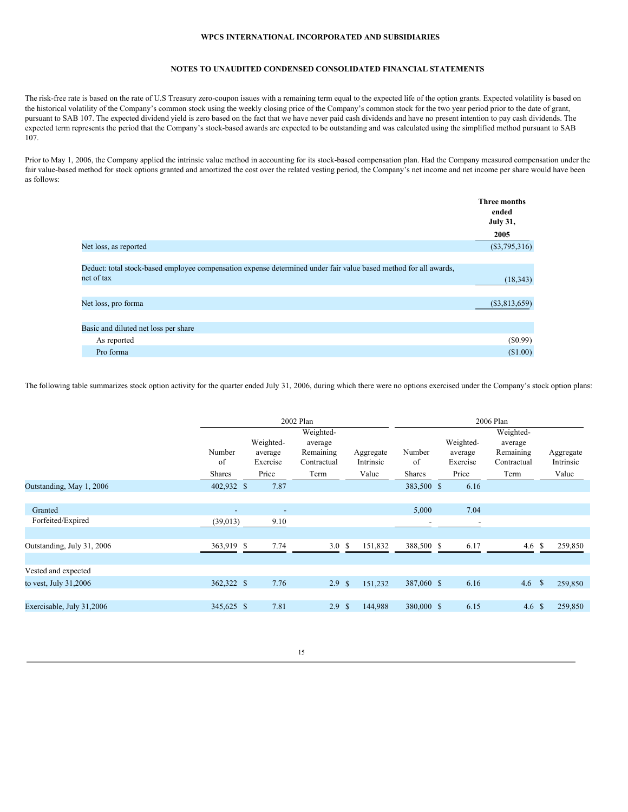# **NOTES TO UNAUDITED CONDENSED CONSOLIDATED FINANCIAL STATEMENTS**

The risk-free rate is based on the rate of U.S Treasury zero-coupon issues with a remaining term equal to the expected life of the option grants. Expected volatility is based on the historical volatility of the Company's common stock using the weekly closing price of the Company's common stock for the two year period prior to the date of grant, pursuant to SAB 107. The expected dividend yield is zero based on the fact that we have never paid cash dividends and have no present intention to pay cash dividends. The expected term represents the period that the Company's stock-based awards are expected to be outstanding and was calculated using the simplified method pursuant to SAB 107.

Prior to May 1, 2006, the Company applied the intrinsic value method in accounting for its stock-based compensation plan. Had the Company measured compensation under the fair value-based method for stock options granted and amortized the cost over the related vesting period, the Company's net income and net income per share would have been as follows:

|                                                                                                                  | Three months<br>ended<br><b>July 31,</b> |
|------------------------------------------------------------------------------------------------------------------|------------------------------------------|
|                                                                                                                  | 2005                                     |
| Net loss, as reported                                                                                            | $(\$3,795,316)$                          |
|                                                                                                                  |                                          |
| Deduct: total stock-based employee compensation expense determined under fair value based method for all awards, |                                          |
| net of tax                                                                                                       | (18, 343)                                |
|                                                                                                                  |                                          |
| Net loss, pro forma                                                                                              | $(\$3,813,659)$                          |
|                                                                                                                  |                                          |
| Basic and diluted net loss per share                                                                             |                                          |
| As reported                                                                                                      | $(\$0.99)$                               |
| Pro forma                                                                                                        | (\$1.00)                                 |

The following table summarizes stock option activity for the quarter ended July 31, 2006, during which there were no options exercised under the Company's stock option plans:

|                                                |                               | 2002 Plan                                 |                                                          |                                 |                               | 2006 Plan                                 |                                                          |                                 |  |
|------------------------------------------------|-------------------------------|-------------------------------------------|----------------------------------------------------------|---------------------------------|-------------------------------|-------------------------------------------|----------------------------------------------------------|---------------------------------|--|
|                                                | Number<br>of<br><b>Shares</b> | Weighted-<br>average<br>Exercise<br>Price | Weighted-<br>average<br>Remaining<br>Contractual<br>Term | Aggregate<br>Intrinsic<br>Value | Number<br>of<br><b>Shares</b> | Weighted-<br>average<br>Exercise<br>Price | Weighted-<br>average<br>Remaining<br>Contractual<br>Term | Aggregate<br>Intrinsic<br>Value |  |
| Outstanding, May 1, 2006                       | 402,932 \$                    | 7.87                                      |                                                          |                                 | 383,500 \$                    | 6.16                                      |                                                          |                                 |  |
| Granted<br>Forfeited/Expired                   | (39,013)                      | $\overline{\phantom{a}}$<br>9.10          |                                                          |                                 | 5,000                         | 7.04                                      |                                                          |                                 |  |
| Outstanding, July 31, 2006                     | 363,919 \$                    | 7.74                                      | 3.0 <sup>5</sup>                                         | 151,832                         | 388,500 \$                    | 6.17                                      | 4.6                                                      | S.<br>259,850                   |  |
| Vested and expected<br>to vest, July $31,2006$ | 362,322 \$                    | 7.76                                      | 2.9 <sub>s</sub>                                         | 151,232                         | 387,060 \$                    | 6.16                                      | 4.6                                                      | $\mathbb{S}$<br>259,850         |  |
| Exercisable, July 31,2006                      | 345,625 \$                    | 7.81                                      | 2.9 <sup>°</sup>                                         | 144,988                         | 380,000 \$                    | 6.15                                      | 4.6                                                      | $\mathbb{S}$<br>259,850         |  |

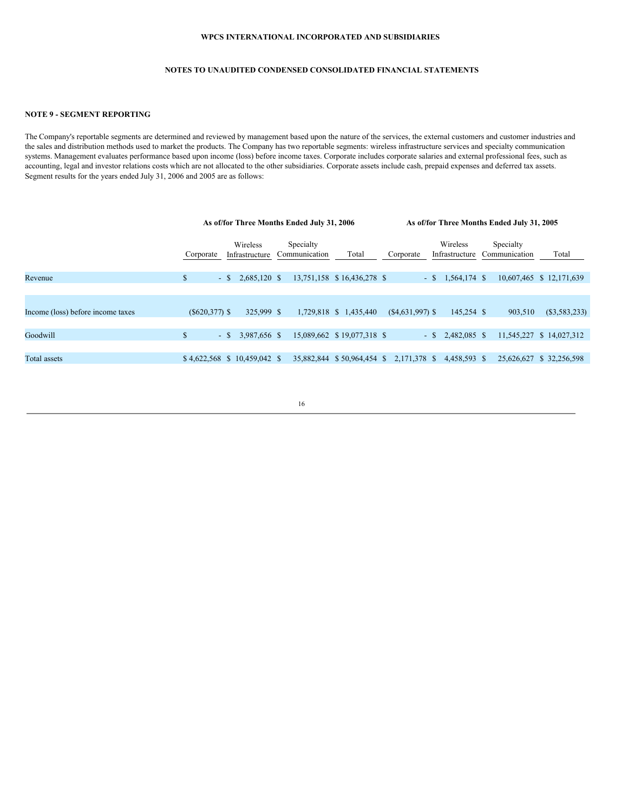### **NOTES TO UNAUDITED CONDENSED CONSOLIDATED FINANCIAL STATEMENTS**

### **NOTE 9 - SEGMENT REPORTING**

The Company's reportable segments are determined and reviewed by management based upon the nature of the services, the external customers and customer industries and the sales and distribution methods used to market the products. The Company has two reportable segments: wireless infrastructure services and specialty communication systems. Management evaluates performance based upon income (loss) before income taxes. Corporate includes corporate salaries and external professional fees, such as accounting, legal and investor relations costs which are not allocated to the other subsidiaries. Corporate assets include cash, prepaid expenses and deferred tax assets. Segment results for the years ended July 31, 2006 and 2005 are as follows:

|                                   | As of/for Three Months Ended July 31, 2006 |                             |                            |                            | As of/for Three Months Ended July 31, 2005 |                            |                            |                          |
|-----------------------------------|--------------------------------------------|-----------------------------|----------------------------|----------------------------|--------------------------------------------|----------------------------|----------------------------|--------------------------|
|                                   | Corporate                                  | Wireless<br>Infrastructure  | Specialty<br>Communication | Total                      | Corporate                                  | Wireless<br>Infrastructure | Specialty<br>Communication | Total                    |
| Revenue                           | \$<br>$-$ S                                | 2.685,120 \$                |                            | 13,751,158 \$16,436,278 \$ |                                            | 1,564,174 \$<br>- S        |                            | 10,607,465 \$12,171,639  |
|                                   |                                            |                             |                            |                            |                                            |                            |                            |                          |
| Income (loss) before income taxes | $(S620,377)$ \$                            | 325,999 \$                  |                            | 1,729,818 \$ 1,435,440     | $(S4, 631, 997)$ \$                        | 145,254 \$                 | 903,510                    | $(\$3,583,233)$          |
| Goodwill                          | \$<br>$-$ S                                | 3.987.656 \$                |                            | 15,089,662 \$19,077,318 \$ |                                            | 2,482,085 \$               |                            | 11,545,227 \$ 14,027,312 |
|                                   |                                            |                             |                            |                            |                                            |                            |                            |                          |
| Total assets                      |                                            | \$4,622,568 \$10,459,042 \$ |                            | 35,882,844 \$50,964,454 \$ | 2,171,378 \$                               | 4,458,593 \$               | 25,626,627                 | \$32,256,598             |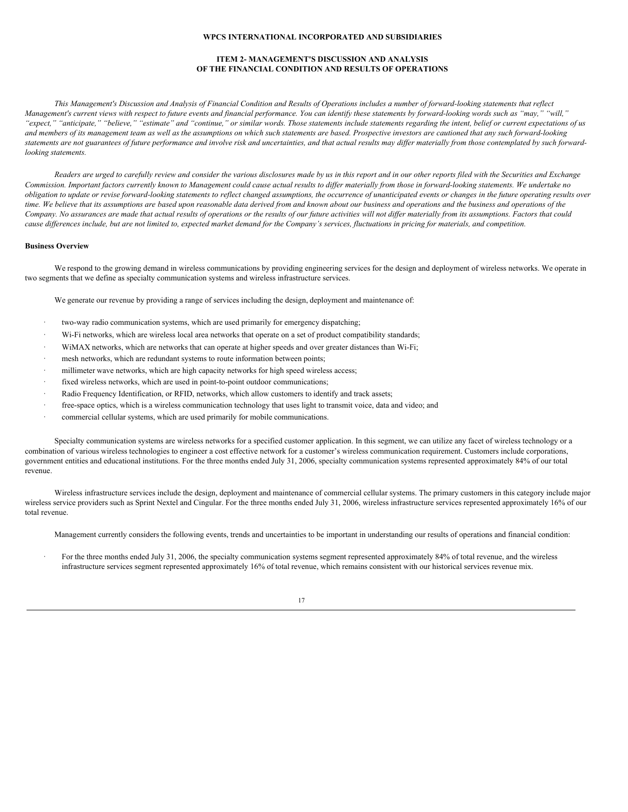### **ITEM 2- MANAGEMENT'S DISCUSSION AND ANALYSIS OF THE FINANCIAL CONDITION AND RESULTS OF OPERATIONS**

This Management's Discussion and Analysis of Financial Condition and Results of Operations includes a number of forward-looking statements that reflect "Management's current views with respect to future events and financial performance. You can identify these statements by forward-looking words such as "may," "will," "expect," "anticipate," "believe," "estimate" and "continue," or similar words. Those statements include statements regarding the intent, belief or current expectations of us and members of its management team as well as the assumptions on which such statements are based. Prospective investors are cautioned that any such forward-looking statements are not guarantees of future performance and involve risk and uncertainties, and that actual results may differ materially from those contemplated by such forward*looking statements.*

Readers are urged to carefully review and consider the various disclosures made by us in this report and in our other reports filed with the Securities and Exchange Commission. Important factors currently known to Management could cause actual results to differ materially from those in forward-looking statements. We undertake no obligation to update or revise forward-looking statements to reflect changed assumptions, the occurrence of unanticipated events or changes in the future operating results over time. We believe that its assumptions are based upon reasonable data derived from and known about our business and operations and the business and operations of the Company. No assurances are made that actual results of operations or the results of our future activities will not differ materially from its assumptions. Factors that could cause differences include, but are not limited to, expected market demand for the Company's services, fluctuations in pricing for materials, and competition.

### **Business Overview**

We respond to the growing demand in wireless communications by providing engineering services for the design and deployment of wireless networks. We operate in two segments that we define as specialty communication systems and wireless infrastructure services.

We generate our revenue by providing a range of services including the design, deployment and maintenance of:

- two-way radio communication systems, which are used primarily for emergency dispatching;
- Wi-Fi networks, which are wireless local area networks that operate on a set of product compatibility standards;
- · WiMAX networks, which are networks that can operate at higher speeds and over greater distances than Wi-Fi;
- mesh networks, which are redundant systems to route information between points;
- millimeter wave networks, which are high capacity networks for high speed wireless access;
- fixed wireless networks, which are used in point-to-point outdoor communications;
- Radio Frequency Identification, or RFID, networks, which allow customers to identify and track assets;
- free-space optics, which is a wireless communication technology that uses light to transmit voice, data and video; and
- commercial cellular systems, which are used primarily for mobile communications.

Specialty communication systems are wireless networks for a specified customer application. In this segment, we can utilize any facet of wireless technology or a combination of various wireless technologies to engineer a cost effective network for a customer's wireless communication requirement. Customers include corporations, government entities and educational institutions. For the three months ended July 31, 2006, specialty communication systems represented approximately 84% of our total revenue.

Wireless infrastructure services include the design, deployment and maintenance of commercial cellular systems. The primary customers in this category include major wireless service providers such as Sprint Nextel and Cingular. For the three months ended July 31, 2006, wireless infrastructure services represented approximately 16% of our total revenue.

Management currently considers the following events, trends and uncertainties to be important in understanding our results of operations and financial condition:

For the three months ended July 31, 2006, the specialty communication systems segment represented approximately 84% of total revenue, and the wireless infrastructure services segment represented approximately 16% of total revenue, which remains consistent with our historical services revenue mix.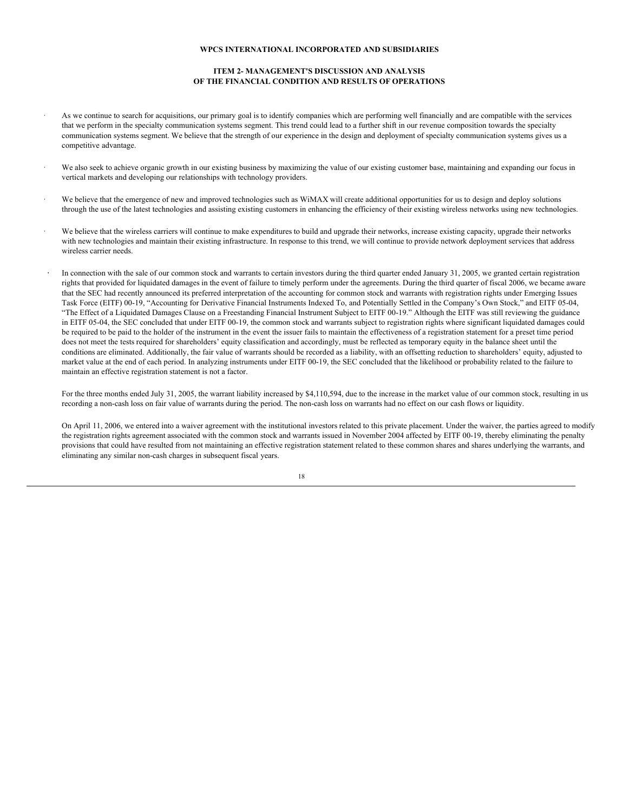### **ITEM 2- MANAGEMENT'S DISCUSSION AND ANALYSIS OF THE FINANCIAL CONDITION AND RESULTS OF OPERATIONS**

- As we continue to search for acquisitions, our primary goal is to identify companies which are performing well financially and are compatible with the services that we perform in the specialty communication systems segment. This trend could lead to a further shift in our revenue composition towards the specialty communication systems segment. We believe that the strength of our experience in the design and deployment of specialty communication systems gives us a competitive advantage.
- We also seek to achieve organic growth in our existing business by maximizing the value of our existing customer base, maintaining and expanding our focus in vertical markets and developing our relationships with technology providers.
- We believe that the emergence of new and improved technologies such as WiMAX will create additional opportunities for us to design and deploy solutions through the use of the latest technologies and assisting existing customers in enhancing the efficiency of their existing wireless networks using new technologies.
- We believe that the wireless carriers will continue to make expenditures to build and upgrade their networks, increase existing capacity, upgrade their networks with new technologies and maintain their existing infrastructure. In response to this trend, we will continue to provide network deployment services that address wireless carrier needs.
- **·** In connection with the sale of our common stock and warrants to certain investors during the third quarter ended January 31, 2005, we granted certain registration rights that provided for liquidated damages in the event of failure to timely perform under the agreements. During the third quarter of fiscal 2006, we became aware that the SEC had recently announced its preferred interpretation of the accounting for common stock and warrants with registration rights under Emerging Issues Task Force (EITF) 00-19, "Accounting for Derivative Financial Instruments Indexed To, and Potentially Settled in the Company's Own Stock," and EITF 05-04, "The Effect of a Liquidated Damages Clause on a Freestanding Financial Instrument Subject to EITF 00-19." Although the EITF was still reviewing the guidance in EITF 05-04, the SEC concluded that under EITF 00-19, the common stock and warrants subject to registration rights where significant liquidated damages could be required to be paid to the holder of the instrument in the event the issuer fails to maintain the effectiveness of a registration statement for a preset time period does not meet the tests required for shareholders' equity classification and accordingly, must be reflected as temporary equity in the balance sheet until the conditions are eliminated. Additionally, the fair value of warrants should be recorded as a liability, with an offsetting reduction to shareholders' equity, adjusted to market value at the end of each period. In analyzing instruments under EITF 00-19, the SEC concluded that the likelihood or probability related to the failure to maintain an effective registration statement is not a factor.

For the three months ended July 31, 2005, the warrant liability increased by \$4,110,594, due to the increase in the market value of our common stock, resulting in us recording a non-cash loss on fair value of warrants during the period. The non-cash loss on warrants had no effect on our cash flows or liquidity.

On April 11, 2006, we entered into a waiver agreement with the institutional investors related to this private placement. Under the waiver, the parties agreed to modify the registration rights agreement associated with the common stock and warrants issued in November 2004 affected by EITF 00-19, thereby eliminating the penalty provisions that could have resulted from not maintaining an effective registration statement related to these common shares and shares underlying the warrants, and eliminating any similar non-cash charges in subsequent fiscal years.

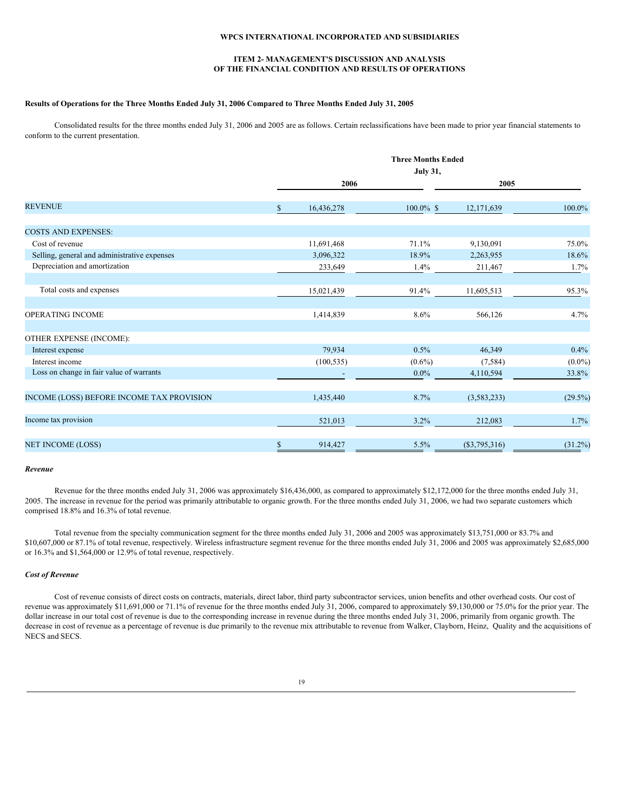### **ITEM 2- MANAGEMENT'S DISCUSSION AND ANALYSIS OF THE FINANCIAL CONDITION AND RESULTS OF OPERATIONS**

### Results of Operations for the Three Months Ended July 31, 2006 Compared to Three Months Ended July 31, 2005

Consolidated results for the three months ended July 31, 2006 and 2005 are as follows. Certain reclassifications have been made to prior year financial statements to conform to the current presentation.

|                                              | <b>Three Months Ended</b> |            |              |                 |            |  |
|----------------------------------------------|---------------------------|------------|--------------|-----------------|------------|--|
|                                              | <b>July 31,</b>           |            |              |                 |            |  |
|                                              |                           | 2006       |              | 2005            |            |  |
| <b>REVENUE</b>                               | \$.                       | 16,436,278 | $100.0\%$ \$ | 12,171,639      | 100.0%     |  |
| <b>COSTS AND EXPENSES:</b>                   |                           |            |              |                 |            |  |
| Cost of revenue                              |                           | 11,691,468 | 71.1%        | 9,130,091       | 75.0%      |  |
| Selling, general and administrative expenses |                           | 3,096,322  | 18.9%        | 2,263,955       | 18.6%      |  |
| Depreciation and amortization                |                           | 233,649    | 1.4%         | 211,467         | 1.7%       |  |
| Total costs and expenses                     |                           | 15,021,439 | 91.4%        | 11,605,513      | 95.3%      |  |
| OPERATING INCOME                             |                           | 1,414,839  | 8.6%         | 566,126         | 4.7%       |  |
| OTHER EXPENSE (INCOME):                      |                           |            |              |                 |            |  |
| Interest expense                             |                           | 79,934     | 0.5%         | 46,349          | 0.4%       |  |
| Interest income                              |                           | (100, 535) | $(0.6\%)$    | (7, 584)        | $(0.0\%)$  |  |
| Loss on change in fair value of warrants     |                           |            | $0.0\%$      | 4,110,594       | 33.8%      |  |
| INCOME (LOSS) BEFORE INCOME TAX PROVISION    |                           | 1,435,440  | 8.7%         | (3,583,233)     | $(29.5\%)$ |  |
| Income tax provision                         |                           | 521,013    | 3.2%         | 212,083         | 1.7%       |  |
| <b>NET INCOME (LOSS)</b>                     | \$                        | 914,427    | 5.5%         | $(\$3,795,316)$ | $(31.2\%)$ |  |

#### *Revenue*

Revenue for the three months ended July 31, 2006 was approximately \$16,436,000, as compared to approximately \$12,172,000 for the three months ended July 31, 2005. The increase in revenue for the period was primarily attributable to organic growth. For the three months ended July 31, 2006, we had two separate customers which comprised 18.8% and 16.3% of total revenue.

Total revenue from the specialty communication segment for the three months ended July 31, 2006 and 2005 was approximately \$13,751,000 or 83.7% and \$10,607,000 or 87.1% of total revenue, respectively. Wireless infrastructure segment revenue for the three months ended July 31, 2006 and 2005 was approximately \$2,685,000 or 16.3% and \$1,564,000 or 12.9% of total revenue, respectively.

#### *Cost of Revenue*

Cost of revenue consists of direct costs on contracts, materials, direct labor, third party subcontractor services, union benefits and other overhead costs. Our cost of revenue was approximately \$11,691,000 or 71.1% of revenue for the three months ended July 31, 2006, compared to approximately \$9,130,000 or 75.0% for the prior year. The dollar increase in our total cost of revenue is due to the corresponding increase in revenue during the three months ended July 31, 2006, primarily from organic growth. The decrease in cost of revenue as a percentage of revenue is due primarily to the revenue mix attributable to revenue from Walker, Clayborn, Heinz, Quality and the acquisitions of NECS and SECS.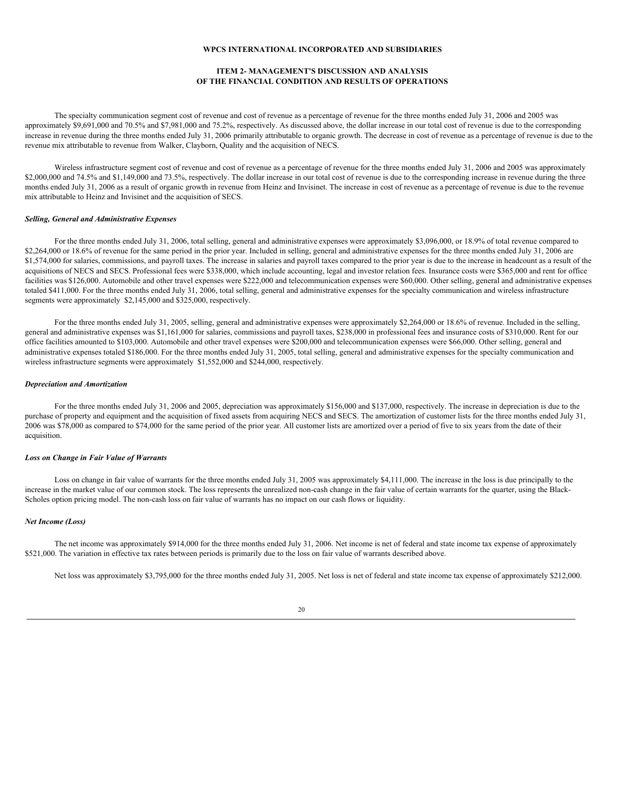### **ITEM 2- MANAGEMENT'S DISCUSSION AND ANALYSIS OF THE FINANCIAL CONDITION AND RESULTS OF OPERATIONS**

The specialty communication segment cost of revenue and cost of revenue as a percentage of revenue for the three months ended July 31, 2006 and 2005 was approximately \$9,691,000 and 70.5% and \$7,981,000 and 75.2%, respectively. As discussed above, the dollar increase in our total cost of revenue is due to the corresponding increase in revenue during the three months ended July 31, 2006 primarily attributable to organic growth. The decrease in cost of revenue as a percentage of revenue is due to the revenue mix attributable to revenue from Walker, Clayborn, Quality and the acquisition of NECS.

Wireless infrastructure segment cost of revenue and cost of revenue as a percentage of revenue for the three months ended July 31, 2006 and 2005 was approximately \$2,000,000 and 74.5% and \$1,149,000 and 73.5%, respectively. The dollar increase in our total cost of revenue is due to the corresponding increase in revenue during the three months ended July 31, 2006 as a result of organic growth in revenue from Heinz and Invisinet. The increase in cost of revenue as a percentage of revenue is due to the revenue mix attributable to Heinz and Invisinet and the acquisition of SECS.

#### *Selling, General and Administrative Expenses*

For the three months ended July 31, 2006, total selling, general and administrative expenses were approximately \$3,096,000, or 18.9% of total revenue compared to \$2,264,000 or 18.6% of revenue for the same period in the prior year. Included in selling, general and administrative expenses for the three months ended July 31, 2006 are \$1,574,000 for salaries, commissions, and payroll taxes. The increase in salaries and payroll taxes compared to the prior year is due to the increase in headcount as a result of the acquisitions of NECS and SECS. Professional fees were \$338,000, which include accounting, legal and investor relation fees. Insurance costs were \$365,000 and rent for office facilities was \$126,000. Automobile and other travel expenses were \$222,000 and telecommunication expenses were \$60,000. Other selling, general and administrative expenses totaled \$411,000. For the three months ended July 31, 2006, total selling, general and administrative expenses for the specialty communication and wireless infrastructure segments were approximately \$2,145,000 and \$325,000, respectively.

For the three months ended July 31, 2005, selling, general and administrative expenses were approximately \$2,264,000 or 18.6% of revenue. Included in the selling, general and administrative expenses was \$1,161,000 for salaries, commissions and payroll taxes, \$238,000 in professional fees and insurance costs of \$310,000. Rent for our office facilities amounted to \$103,000. Automobile and other travel expenses were \$200,000 and telecommunication expenses were \$66,000. Other selling, general and administrative expenses totaled \$186,000. For the three months ended July 31, 2005, total selling, general and administrative expenses for the specialty communication and wireless infrastructure segments were approximately \$1,552,000 and \$244,000, respectively.

#### *Depreciation and Amortization*

For the three months ended July 31, 2006 and 2005, depreciation was approximately \$156,000 and \$137,000, respectively. The increase in depreciation is due to the purchase of property and equipment and the acquisition of fixed assets from acquiring NECS and SECS. The amortization of customer lists for the three months ended July 31, 2006 was \$78,000 as compared to \$74,000 for the same period of the prior year. All customer lists are amortized over a period of five to six years from the date of their acquisition.

### *Loss on Change in Fair Value of Warrants*

Loss on change in fair value of warrants for the three months ended July 31, 2005 was approximately \$4,111,000. The increase in the loss is due principally to the increase in the market value of our common stock. The loss represents the unrealized non-cash change in the fair value of certain warrants for the quarter, using the Black-Scholes option pricing model. The non-cash loss on fair value of warrants has no impact on our cash flows or liquidity.

#### *Net Income (Loss)*

The net income was approximately \$914,000 for the three months ended July 31, 2006. Net income is net of federal and state income tax expense of approximately \$521,000. The variation in effective tax rates between periods is primarily due to the loss on fair value of warrants described above.

Net loss was approximately \$3,795,000 for the three months ended July 31, 2005. Net loss is net of federal and state income tax expense of approximately \$212,000.

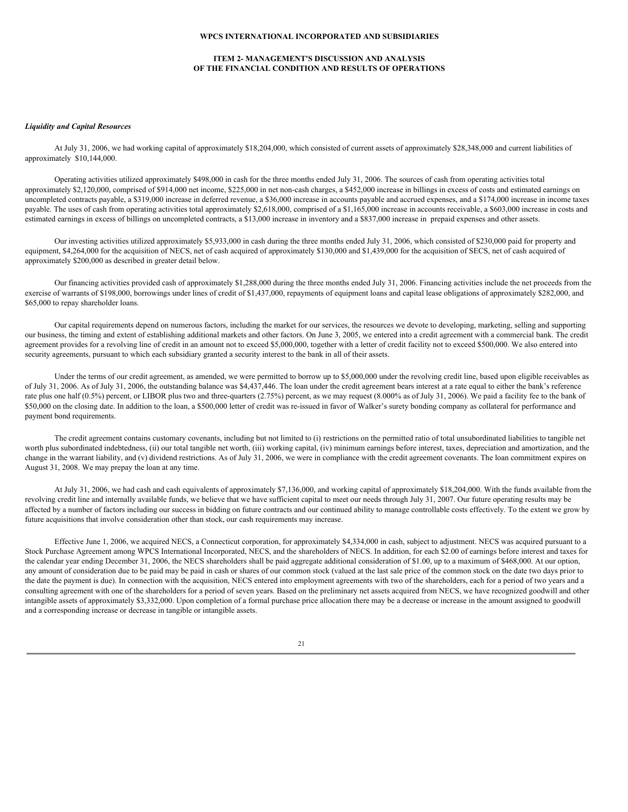#### **ITEM 2- MANAGEMENT'S DISCUSSION AND ANALYSIS OF THE FINANCIAL CONDITION AND RESULTS OF OPERATIONS**

#### *Liquidity and Capital Resources*

At July 31, 2006, we had working capital of approximately \$18,204,000, which consisted of current assets of approximately \$28,348,000 and current liabilities of approximately \$10,144,000.

Operating activities utilized approximately \$498,000 in cash for the three months ended July 31, 2006. The sources of cash from operating activities total approximately \$2,120,000, comprised of \$914,000 net income, \$225,000 in net non-cash charges, a \$452,000 increase in billings in excess of costs and estimated earnings on uncompleted contracts payable, a \$319,000 increase in deferred revenue, a \$36,000 increase in accounts payable and accrued expenses, and a \$174,000 increase in income taxes payable. The uses of cash from operating activities total approximately \$2,618,000, comprised of a \$1,165,000 increase in accounts receivable, a \$603,000 increase in costs and estimated earnings in excess of billings on uncompleted contracts, a \$13,000 increase in inventory and a \$837,000 increase in prepaid expenses and other assets.

Our investing activities utilized approximately \$5,933,000 in cash during the three months ended July 31, 2006, which consisted of \$230,000 paid for property and equipment, \$4,264,000 for the acquisition of NECS, net of cash acquired of approximately \$130,000 and \$1,439,000 for the acquisition of SECS, net of cash acquired of approximately \$200,000 as described in greater detail below.

Our financing activities provided cash of approximately \$1,288,000 during the three months ended July 31, 2006. Financing activities include the net proceeds from the exercise of warrants of \$198,000, borrowings under lines of credit of \$1,437,000, repayments of equipment loans and capital lease obligations of approximately \$282,000, and \$65,000 to repay shareholder loans.

Our capital requirements depend on numerous factors, including the market for our services, the resources we devote to developing, marketing, selling and supporting our business, the timing and extent of establishing additional markets and other factors. On June 3, 2005, we entered into a credit agreement with a commercial bank. The credit agreement provides for a revolving line of credit in an amount not to exceed \$5,000,000, together with a letter of credit facility not to exceed \$500,000. We also entered into security agreements, pursuant to which each subsidiary granted a security interest to the bank in all of their assets.

Under the terms of our credit agreement, as amended, we were permitted to borrow up to \$5,000,000 under the revolving credit line, based upon eligible receivables as of July 31, 2006. As of July 31, 2006, the outstanding balance was \$4,437,446. The loan under the credit agreement bears interest at a rate equal to either the bank's reference rate plus one half (0.5%) percent, or LIBOR plus two and three-quarters (2.75%) percent, as we may request (8.000% as of July 31, 2006). We paid a facility fee to the bank of \$50,000 on the closing date. In addition to the loan, a \$500,000 letter of credit was re-issued in favor of Walker's surety bonding company as collateral for performance and payment bond requirements.

The credit agreement contains customary covenants, including but not limited to (i) restrictions on the permitted ratio of total unsubordinated liabilities to tangible net worth plus subordinated indebtedness, (ii) our total tangible net worth, (iii) working capital, (iv) minimum earnings before interest, taxes, depreciation and amortization, and the change in the warrant liability, and (v) dividend restrictions. As of July 31, 2006, we were in compliance with the credit agreement covenants. The loan commitment expires on August 31, 2008. We may prepay the loan at any time.

At July 31, 2006, we had cash and cash equivalents of approximately \$7,136,000, and working capital of approximately \$18,204,000. With the funds available from the revolving credit line and internally available funds, we believe that we have sufficient capital to meet our needs through July 31, 2007. Our future operating results may be affected by a number of factors including our success in bidding on future contracts and our continued ability to manage controllable costs effectively. To the extent we grow by future acquisitions that involve consideration other than stock, our cash requirements may increase.

Effective June 1, 2006, we acquired NECS, a Connecticut corporation, for approximately \$4,334,000 in cash, subject to adjustment. NECS was acquired pursuant to a Stock Purchase Agreement among WPCS International Incorporated, NECS, and the shareholders of NECS. In addition, for each \$2.00 of earnings before interest and taxes for the calendar year ending December 31, 2006, the NECS shareholders shall be paid aggregate additional consideration of \$1.00, up to a maximum of \$468,000. At our option, any amount of consideration due to be paid may be paid in cash or shares of our common stock (valued at the last sale price of the common stock on the date two days prior to the date the payment is due). In connection with the acquisition, NECS entered into employment agreements with two of the shareholders, each for a period of two years and a consulting agreement with one of the shareholders for a period of seven years. Based on the preliminary net assets acquired from NECS, we have recognized goodwill and other intangible assets of approximately \$3,332,000. Upon completion of a formal purchase price allocation there may be a decrease or increase in the amount assigned to goodwill and a corresponding increase or decrease in tangible or intangible assets.

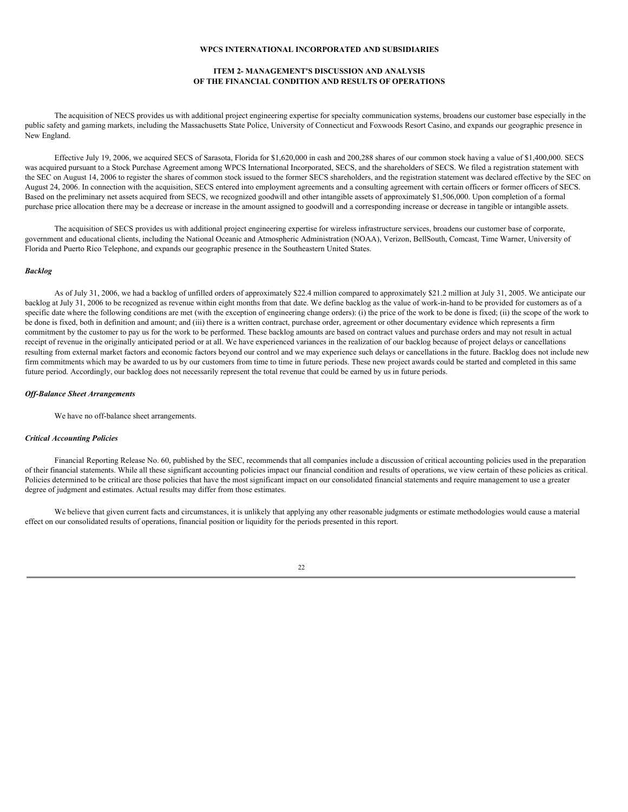### **ITEM 2- MANAGEMENT'S DISCUSSION AND ANALYSIS OF THE FINANCIAL CONDITION AND RESULTS OF OPERATIONS**

The acquisition of NECS provides us with additional project engineering expertise for specialty communication systems, broadens our customer base especially in the public safety and gaming markets, including the Massachusetts State Police, University of Connecticut and Foxwoods Resort Casino, and expands our geographic presence in New England.

Effective July 19, 2006, we acquired SECS of Sarasota, Florida for \$1,620,000 in cash and 200,288 shares of our common stock having a value of \$1,400,000. SECS was acquired pursuant to a Stock Purchase Agreement among WPCS International Incorporated, SECS, and the shareholders of SECS. We filed a registration statement with the SEC on August 14, 2006 to register the shares of common stock issued to the former SECS shareholders, and the registration statement was declared effective by the SEC on August 24, 2006. In connection with the acquisition, SECS entered into employment agreements and a consulting agreement with certain officers or former officers of SECS. Based on the preliminary net assets acquired from SECS, we recognized goodwill and other intangible assets of approximately \$1,506,000. Upon completion of a formal purchase price allocation there may be a decrease or increase in the amount assigned to goodwill and a corresponding increase or decrease in tangible or intangible assets.

The acquisition of SECS provides us with additional project engineering expertise for wireless infrastructure services, broadens our customer base of corporate, government and educational clients, including the National Oceanic and Atmospheric Administration (NOAA), Verizon, BellSouth, Comcast, Time Warner, University of Florida and Puerto Rico Telephone, and expands our geographic presence in the Southeastern United States.

### *Backlog*

As of July 31, 2006, we had a backlog of unfilled orders of approximately \$22.4 million compared to approximately \$21.2 million at July 31, 2005. We anticipate our backlog at July 31, 2006 to be recognized as revenue within eight months from that date. We define backlog as the value of work-in-hand to be provided for customers as of a specific date where the following conditions are met (with the exception of engineering change orders): (i) the price of the work to be done is fixed; (ii) the scope of the work to be done is fixed, both in definition and amount; and (iii) there is a written contract, purchase order, agreement or other documentary evidence which represents a firm commitment by the customer to pay us for the work to be performed. These backlog amounts are based on contract values and purchase orders and may not result in actual receipt of revenue in the originally anticipated period or at all. We have experienced variances in the realization of our backlog because of project delays or cancellations resulting from external market factors and economic factors beyond our control and we may experience such delays or cancellations in the future. Backlog does not include new firm commitments which may be awarded to us by our customers from time to time in future periods. These new project awards could be started and completed in this same future period. Accordingly, our backlog does not necessarily represent the total revenue that could be earned by us in future periods.

#### *Of -Balance Sheet Arrangements*

We have no off-balance sheet arrangements.

### *Critical Accounting Policies*

Financial Reporting Release No. 60, published by the SEC, recommends that all companies include a discussion of critical accounting policies used in the preparation of their financial statements. While all these significant accounting policies impact our financial condition and results of operations, we view certain of these policies as critical. Policies determined to be critical are those policies that have the most significant impact on our consolidated financial statements and require management to use a greater degree of judgment and estimates. Actual results may differ from those estimates.

We believe that given current facts and circumstances, it is unlikely that applying any other reasonable judgments or estimate methodologies would cause a material effect on our consolidated results of operations, financial position or liquidity for the periods presented in this report.

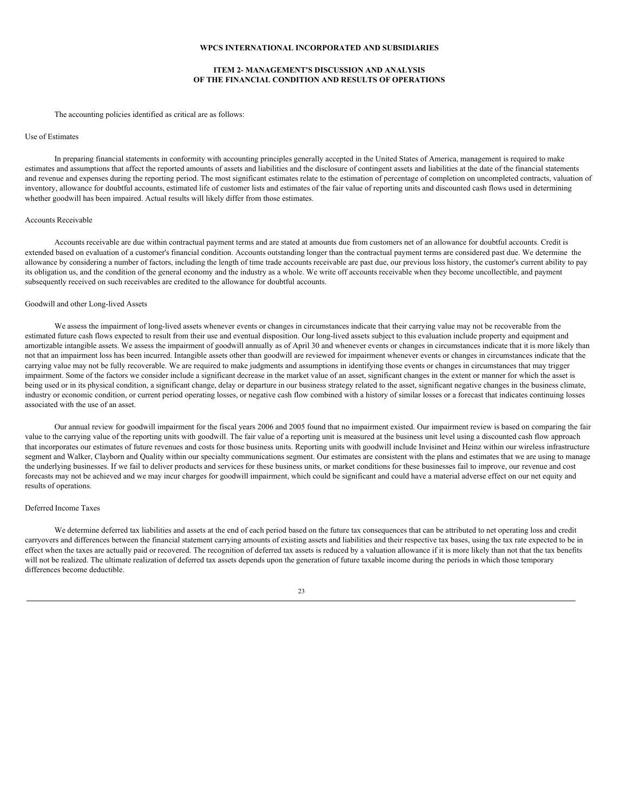### **ITEM 2- MANAGEMENT'S DISCUSSION AND ANALYSIS OF THE FINANCIAL CONDITION AND RESULTS OF OPERATIONS**

The accounting policies identified as critical are as follows:

#### Use of Estimates

In preparing financial statements in conformity with accounting principles generally accepted in the United States of America, management is required to make estimates and assumptions that affect the reported amounts of assets and liabilities and the disclosure of contingent assets and liabilities at the date of the financial statements and revenue and expenses during the reporting period. The most significant estimates relate to the estimation of percentage of completion on uncompleted contracts, valuation of inventory, allowance for doubtful accounts, estimated life of customer lists and estimates of the fair value of reporting units and discounted cash flows used in determining whether goodwill has been impaired. Actual results will likely differ from those estimates.

### Accounts Receivable

Accounts receivable are due within contractual payment terms and are stated at amounts due from customers net of an allowance for doubtful accounts. Credit is extended based on evaluation of a customer's financial condition. Accounts outstanding longer than the contractual payment terms are considered past due. We determine the allowance by considering a number of factors, including the length of time trade accounts receivable are past due, our previous loss history, the customer's current ability to pay its obligation us, and the condition of the general economy and the industry as a whole. We write off accounts receivable when they become uncollectible, and payment subsequently received on such receivables are credited to the allowance for doubtful accounts.

#### Goodwill and other Long-lived Assets

We assess the impairment of long-lived assets whenever events or changes in circumstances indicate that their carrying value may not be recoverable from the estimated future cash flows expected to result from their use and eventual disposition. Our long-lived assets subject to this evaluation include property and equipment and amortizable intangible assets. We assess the impairment of goodwill annually as of April 30 and whenever events or changes in circumstances indicate that it is more likely than not that an impairment loss has been incurred. Intangible assets other than goodwill are reviewed for impairment whenever events or changes in circumstances indicate that the carrying value may not be fully recoverable. We are required to make judgments and assumptions in identifying those events or changes in circumstances that may trigger impairment. Some of the factors we consider include a significant decrease in the market value of an asset, significant changes in the extent or manner for which the asset is being used or in its physical condition, a significant change, delay or departure in our business strategy related to the asset, significant negative changes in the business climate, industry or economic condition, or current period operating losses, or negative cash flow combined with a history of similar losses or a forecast that indicates continuing losses associated with the use of an asset.

Our annual review for goodwill impairment for the fiscal years 2006 and 2005 found that no impairment existed. Our impairment review is based on comparing the fair value to the carrying value of the reporting units with goodwill. The fair value of a reporting unit is measured at the business unit level using a discounted cash flow approach that incorporates our estimates of future revenues and costs for those business units. Reporting units with goodwill include Invisinet and Heinz within our wireless infrastructure segment and Walker, Clayborn and Quality within our specialty communications segment. Our estimates are consistent with the plans and estimates that we are using to manage the underlying businesses. If we fail to deliver products and services for these business units, or market conditions for these businesses fail to improve, our revenue and cost forecasts may not be achieved and we may incur charges for goodwill impairment, which could be significant and could have a material adverse effect on our net equity and results of operations.

#### Deferred Income Taxes

We determine deferred tax liabilities and assets at the end of each period based on the future tax consequences that can be attributed to net operating loss and credit carryovers and differences between the financial statement carrying amounts of existing assets and liabilities and their respective tax bases, using the tax rate expected to be in effect when the taxes are actually paid or recovered. The recognition of deferred tax assets is reduced by a valuation allowance if it is more likely than not that the tax benefits will not be realized. The ultimate realization of deferred tax assets depends upon the generation of future taxable income during the periods in which those temporary differences become deductible.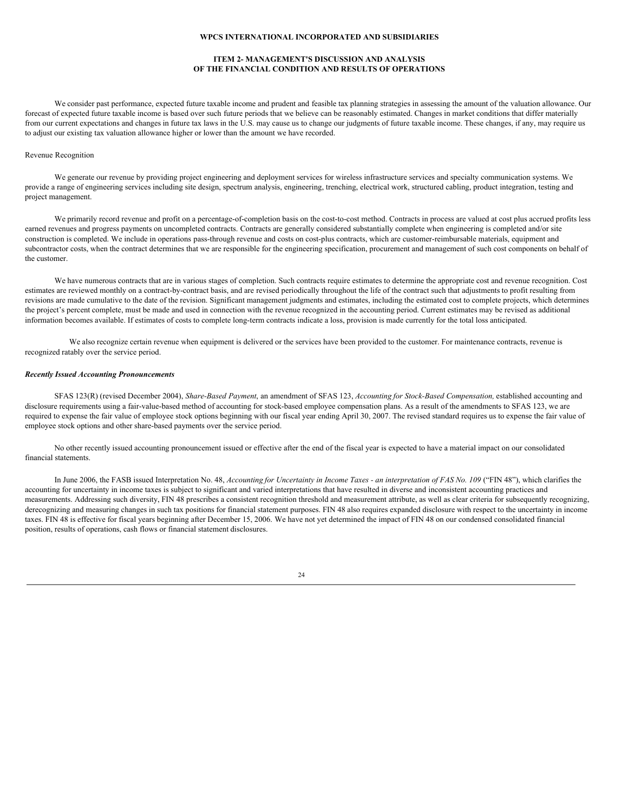### **ITEM 2- MANAGEMENT'S DISCUSSION AND ANALYSIS OF THE FINANCIAL CONDITION AND RESULTS OF OPERATIONS**

We consider past performance, expected future taxable income and prudent and feasible tax planning strategies in assessing the amount of the valuation allowance. Our forecast of expected future taxable income is based over such future periods that we believe can be reasonably estimated. Changes in market conditions that differ materially from our current expectations and changes in future tax laws in the U.S. may cause us to change our judgments of future taxable income. These changes, if any, may require us to adjust our existing tax valuation allowance higher or lower than the amount we have recorded.

### Revenue Recognition

We generate our revenue by providing project engineering and deployment services for wireless infrastructure services and specialty communication systems. We provide a range of engineering services including site design, spectrum analysis, engineering, trenching, electrical work, structured cabling, product integration, testing and project management.

We primarily record revenue and profit on a percentage-of-completion basis on the cost-to-cost method. Contracts in process are valued at cost plus accrued profits less earned revenues and progress payments on uncompleted contracts. Contracts are generally considered substantially complete when engineering is completed and/or site construction is completed. We include in operations pass-through revenue and costs on cost-plus contracts, which are customer-reimbursable materials, equipment and subcontractor costs, when the contract determines that we are responsible for the engineering specification, procurement and management of such cost components on behalf of the customer.

We have numerous contracts that are in various stages of completion. Such contracts require estimates to determine the appropriate cost and revenue recognition. Cost estimates are reviewed monthly on a contract-by-contract basis, and are revised periodically throughout the life of the contract such that adjustments to profit resulting from revisions are made cumulative to the date of the revision. Significant management judgments and estimates, including the estimated cost to complete projects, which determines the project's percent complete, must be made and used in connection with the revenue recognized in the accounting period. Current estimates may be revised as additional information becomes available. If estimates of costs to complete long-term contracts indicate a loss, provision is made currently for the total loss anticipated.

We also recognize certain revenue when equipment is delivered or the services have been provided to the customer. For maintenance contracts, revenue is recognized ratably over the service period.

### *Recently Issued Accounting Pronouncements*

SFAS 123(R) (revised December 2004), *Share-Based Payment*, an amendment of SFAS 123, *Accounting for Stock-Based Compensation,* established accounting and disclosure requirements using a fair-value-based method of accounting for stock-based employee compensation plans. As a result of the amendments to SFAS 123, we are required to expense the fair value of employee stock options beginning with our fiscal year ending April 30, 2007. The revised standard requires us to expense the fair value of employee stock options and other share-based payments over the service period.

No other recently issued accounting pronouncement issued or effective after the end of the fiscal year is expected to have a material impact on our consolidated financial statements.

In June 2006, the FASB issued Interpretation No. 48, Accounting for Uncertainty in Income Taxes - an interpretation of FAS No. 109 ("FIN 48"), which clarifies the accounting for uncertainty in income taxes is subject to significant and varied interpretations that have resulted in diverse and inconsistent accounting practices and measurements. Addressing such diversity, FIN 48 prescribes a consistent recognition threshold and measurement attribute, as well as clear criteria for subsequently recognizing, derecognizing and measuring changes in such tax positions for financial statement purposes. FIN 48 also requires expanded disclosure with respect to the uncertainty in income taxes. FIN 48 is effective for fiscal years beginning after December 15, 2006. We have not yet determined the impact of FIN 48 on our condensed consolidated financial position, results of operations, cash flows or financial statement disclosures.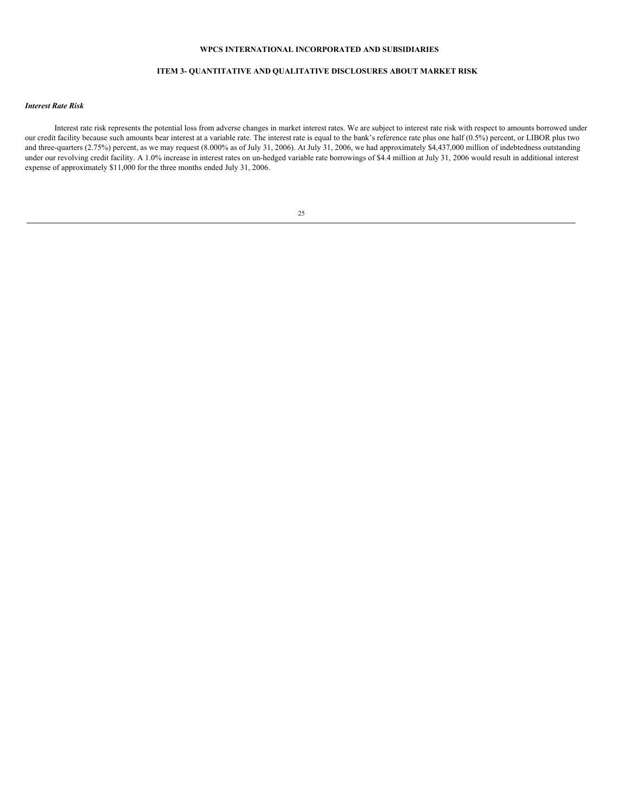### **ITEM 3- QUANTITATIVE AND QUALITATIVE DISCLOSURES ABOUT MARKET RISK**

#### *Interest Rate Risk*

Interest rate risk represents the potential loss from adverse changes in market interest rates. We are subject to interest rate risk with respect to amounts borrowed under our credit facility because such amounts bear interest at a variable rate. The interest rate is equal to the bank's reference rate plus one half (0.5%) percent, or LIBOR plus two and three-quarters (2.75%) percent, as we may request (8.000% as of July 31, 2006). At July 31, 2006, we had approximately \$4,437,000 million of indebtedness outstanding under our revolving credit facility. A 1.0% increase in interest rates on un-hedged variable rate borrowings of \$4.4 million at July 31, 2006 would result in additional interest expense of approximately \$11,000 for the three months ended July 31, 2006.

| i |
|---|
|   |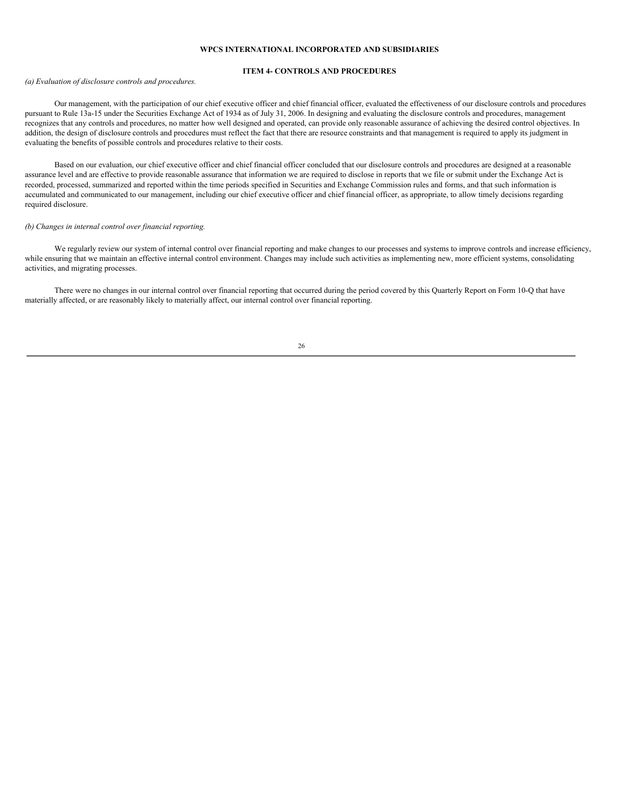#### **ITEM 4- CONTROLS AND PROCEDURES**

#### *(a) Evaluation of disclosure controls and procedures.*

Our management, with the participation of our chief executive officer and chief financial officer, evaluated the effectiveness of our disclosure controls and procedures pursuant to Rule 13a-15 under the Securities Exchange Act of 1934 as of July 31, 2006. In designing and evaluating the disclosure controls and procedures, management recognizes that any controls and procedures, no matter how well designed and operated, can provide only reasonable assurance of achieving the desired control objectives. In addition, the design of disclosure controls and procedures must reflect the fact that there are resource constraints and that management is required to apply its judgment in evaluating the benefits of possible controls and procedures relative to their costs.

Based on our evaluation, our chief executive officer and chief financial officer concluded that our disclosure controls and procedures are designed at a reasonable assurance level and are effective to provide reasonable assurance that information we are required to disclose in reports that we file or submit under the Exchange Act is recorded, processed, summarized and reported within the time periods specified in Securities and Exchange Commission rules and forms, and that such information is accumulated and communicated to our management, including our chief executive officer and chief financial officer, as appropriate, to allow timely decisions regarding required disclosure.

#### *(b) Changes in internal control over financial reporting.*

We regularly review our system of internal control over financial reporting and make changes to our processes and systems to improve controls and increase efficiency, while ensuring that we maintain an effective internal control environment. Changes may include such activities as implementing new, more efficient systems, consolidating activities, and migrating processes.

There were no changes in our internal control over financial reporting that occurred during the period covered by this Quarterly Report on Form 10-Q that have materially affected, or are reasonably likely to materially affect, our internal control over financial reporting.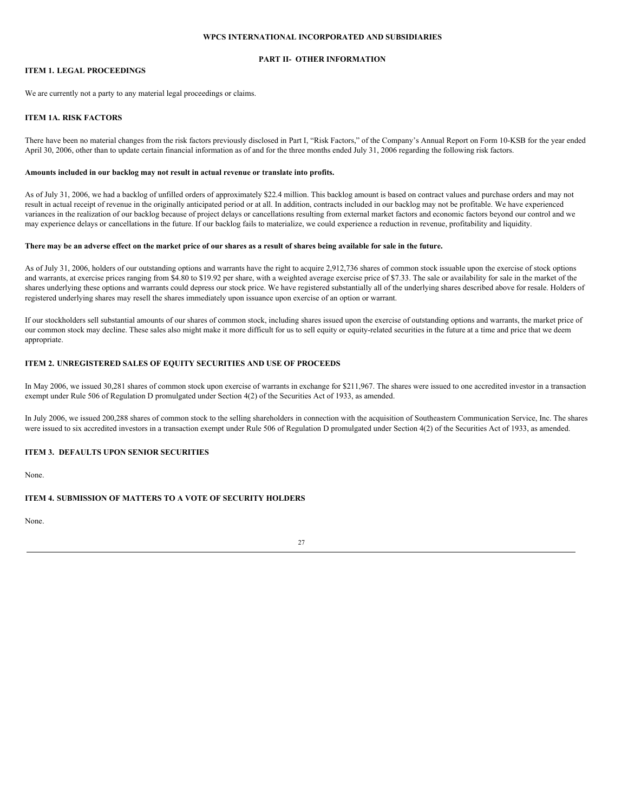#### **PART II- OTHER INFORMATION**

### **ITEM 1. LEGAL PROCEEDINGS**

We are currently not a party to any material legal proceedings or claims.

## **ITEM 1A. RISK FACTORS**

There have been no material changes from the risk factors previously disclosed in Part I, "Risk Factors," of the Company's Annual Report on Form 10-KSB for the year ended April 30, 2006, other than to update certain financial information as of and for the three months ended July 31, 2006 regarding the following risk factors.

#### **Amounts included in our backlog may not result in actual revenue or translate into profits.**

As of July 31, 2006, we had a backlog of unfilled orders of approximately \$22.4 million. This backlog amount is based on contract values and purchase orders and may not result in actual receipt of revenue in the originally anticipated period or at all. In addition, contracts included in our backlog may not be profitable. We have experienced variances in the realization of our backlog because of project delays or cancellations resulting from external market factors and economic factors beyond our control and we may experience delays or cancellations in the future. If our backlog fails to materialize, we could experience a reduction in revenue, profitability and liquidity.

### There may be an adverse effect on the market price of our shares as a result of shares being available for sale in the future.

As of July 31, 2006, holders of our outstanding options and warrants have the right to acquire 2,912,736 shares of common stock issuable upon the exercise of stock options and warrants, at exercise prices ranging from \$4.80 to \$19.92 per share, with a weighted average exercise price of \$7.33. The sale or availability for sale in the market of the shares underlying these options and warrants could depress our stock price. We have registered substantially all of the underlying shares described above for resale. Holders of registered underlying shares may resell the shares immediately upon issuance upon exercise of an option or warrant.

If our stockholders sell substantial amounts of our shares of common stock, including shares issued upon the exercise of outstanding options and warrants, the market price of our common stock may decline. These sales also might make it more difficult for us to sell equity or equity-related securities in the future at a time and price that we deem appropriate.

### **ITEM 2. UNREGISTERED SALES OF EQUITY SECURITIES AND USE OF PROCEEDS**

In May 2006, we issued 30,281 shares of common stock upon exercise of warrants in exchange for \$211,967. The shares were issued to one accredited investor in a transaction exempt under Rule 506 of Regulation D promulgated under Section 4(2) of the Securities Act of 1933, as amended.

In July 2006, we issued 200,288 shares of common stock to the selling shareholders in connection with the acquisition of Southeastern Communication Service, Inc. The shares were issued to six accredited investors in a transaction exempt under Rule 506 of Regulation D promulgated under Section 4(2) of the Securities Act of 1933, as amended.

### **ITEM 3. DEFAULTS UPON SENIOR SECURITIES**

None.

### **ITEM 4. SUBMISSION OF MATTERS TO A VOTE OF SECURITY HOLDERS**

None.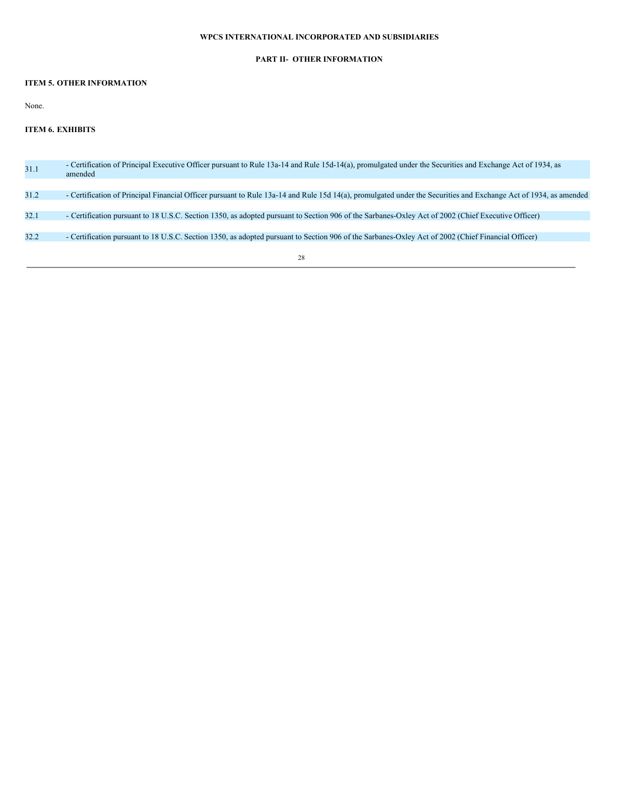# **PART II- OTHER INFORMATION**

# **ITEM 5. OTHER INFORMATION**

None.

# **ITEM 6. EXHIBITS**

| 31.1 | - Certification of Principal Executive Officer pursuant to Rule 13a-14 and Rule 15d-14(a), promulgated under the Securities and Exchange Act of 1934, as<br>amended |
|------|---------------------------------------------------------------------------------------------------------------------------------------------------------------------|
|      |                                                                                                                                                                     |
| 31.2 | - Certification of Principal Financial Officer pursuant to Rule 13a-14 and Rule 15d 14(a), promulgated under the Securities and Exchange Act of 1934, as amended    |
|      |                                                                                                                                                                     |
| 32.1 | - Certification pursuant to 18 U.S.C. Section 1350, as adopted pursuant to Section 906 of the Sarbanes-Oxley Act of 2002 (Chief Executive Officer)                  |
|      |                                                                                                                                                                     |
| 32.2 | - Certification pursuant to 18 U.S.C. Section 1350, as adopted pursuant to Section 906 of the Sarbanes-Oxley Act of 2002 (Chief Financial Officer)                  |
|      |                                                                                                                                                                     |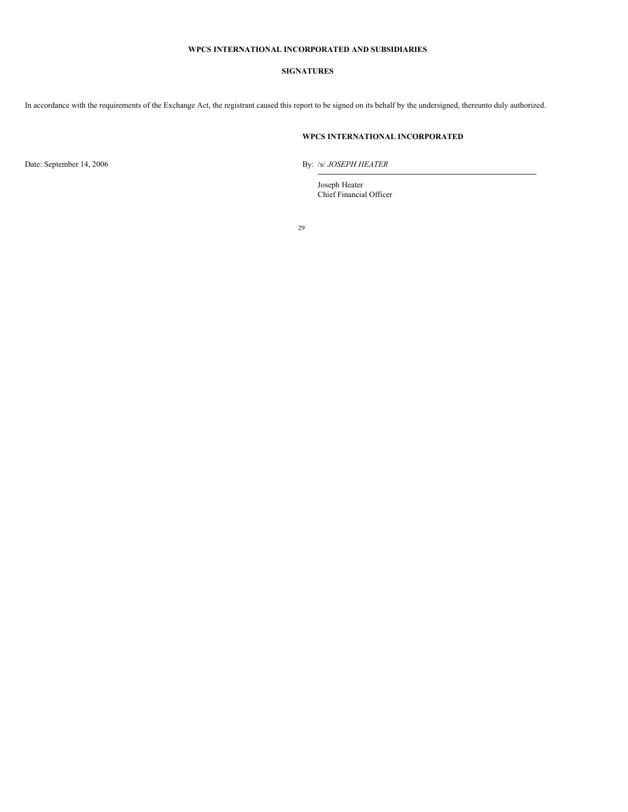### **SIGNATURES**

In accordance with the requirements of the Exchange Act, the registrant caused this report to be signed on its behalf by the undersigned, thereunto duly authorized.

# **WPCS INTERNATIONAL INCORPORATED**

Date: September 14, 2006 By: /s/ *JOSEPH HEATER* 

Joseph Heater Chief Financial Officer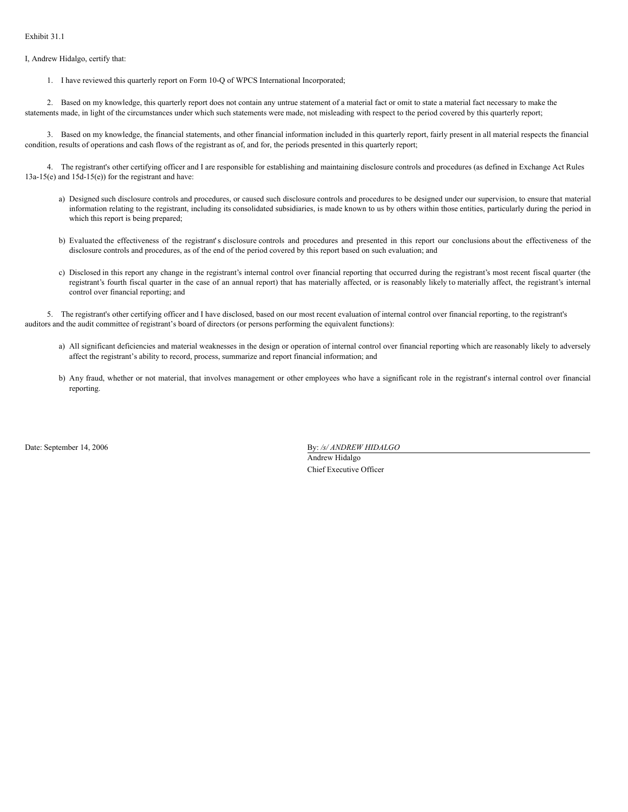I, Andrew Hidalgo, certify that:

1. I have reviewed this quarterly report on Form 10-Q of WPCS International Incorporated;

2. Based on my knowledge, this quarterly report does not contain any untrue statement of a material fact or omit to state a material fact necessary to make the statements made, in light of the circumstances under which such statements were made, not misleading with respect to the period covered by this quarterly report;

3. Based on my knowledge, the financial statements, and other financial information included in this quarterly report, fairly present in all material respects the financial condition, results of operations and cash flows of the registrant as of, and for, the periods presented in this quarterly report;

4. The registrant's other certifying officer and I are responsible for establishing and maintaining disclosure controls and procedures (as defined in Exchange Act Rules 13a-15(e) and 15d-15(e)) for the registrant and have:

- a) Designed such disclosure controls and procedures, or caused such disclosure controls and procedures to be designed under our supervision, to ensure that material information relating to the registrant, including its consolidated subsidiaries, is made known to us by others within those entities, particularly during the period in which this report is being prepared;
- b) Evaluated the effectiveness of the registrant's disclosure controls and procedures and presented in this report our conclusions about the effectiveness of the disclosure controls and procedures, as of the end of the period covered by this report based on such evaluation; and
- c) Disclosed in this report any change in the registrant's internal control over financial reporting that occurred during the registrant's most recent fiscal quarter (the registrant's fourth fiscal quarter in the case of an annual report) that has materially affected, or is reasonably likely to materially affect, the registrant's internal control over financial reporting; and

5. The registrant's other certifying officer and I have disclosed, based on our most recent evaluation of internal control over financial reporting, to the registrant's auditors and the audit committee of registrant's board of directors (or persons performing the equivalent functions):

- a) All significant deficiencies and material weaknesses in the design or operation of internal control over financial reporting which are reasonably likely to adversely affect the registrant's ability to record, process, summarize and report financial information; and
- b) Any fraud, whether or not material, that involves management or other employees who have a significant role in the registrant's internal control over financial reporting.

Date: September 14, 2006 By: */s/ ANDREW HIDALGO*

Andrew Hidalgo Chief Executive Officer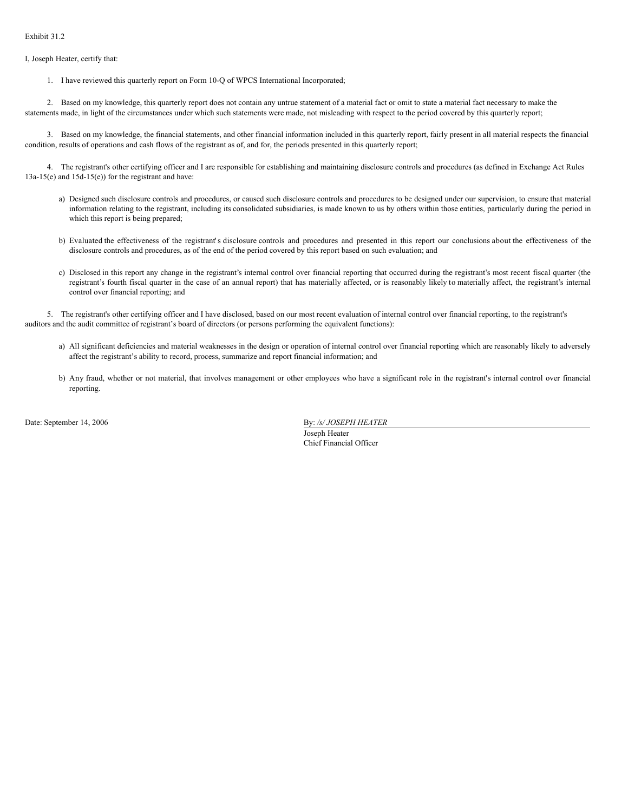I, Joseph Heater, certify that:

1. I have reviewed this quarterly report on Form 10-Q of WPCS International Incorporated;

2. Based on my knowledge, this quarterly report does not contain any untrue statement of a material fact or omit to state a material fact necessary to make the statements made, in light of the circumstances under which such statements were made, not misleading with respect to the period covered by this quarterly report;

3. Based on my knowledge, the financial statements, and other financial information included in this quarterly report, fairly present in all material respects the financial condition, results of operations and cash flows of the registrant as of, and for, the periods presented in this quarterly report;

4. The registrant's other certifying officer and I are responsible for establishing and maintaining disclosure controls and procedures (as defined in Exchange Act Rules 13a-15(e) and 15d-15(e)) for the registrant and have:

- a) Designed such disclosure controls and procedures, or caused such disclosure controls and procedures to be designed under our supervision, to ensure that material information relating to the registrant, including its consolidated subsidiaries, is made known to us by others within those entities, particularly during the period in which this report is being prepared;
- b) Evaluated the effectiveness of the registrant's disclosure controls and procedures and presented in this report our conclusions about the effectiveness of the disclosure controls and procedures, as of the end of the period covered by this report based on such evaluation; and
- c) Disclosed in this report any change in the registrant's internal control over financial reporting that occurred during the registrant's most recent fiscal quarter (the registrant's fourth fiscal quarter in the case of an annual report) that has materially affected, or is reasonably likely to materially affect, the registrant's internal control over financial reporting; and

5. The registrant's other certifying officer and I have disclosed, based on our most recent evaluation of internal control over financial reporting, to the registrant's auditors and the audit committee of registrant's board of directors (or persons performing the equivalent functions):

- a) All significant deficiencies and material weaknesses in the design or operation of internal control over financial reporting which are reasonably likely to adversely affect the registrant's ability to record, process, summarize and report financial information; and
- b) Any fraud, whether or not material, that involves management or other employees who have a significant role in the registrant's internal control over financial reporting.

Date: September 14, 2006 By: */s/ JOSEPH HEATER* Joseph Heater Chief Financial Officer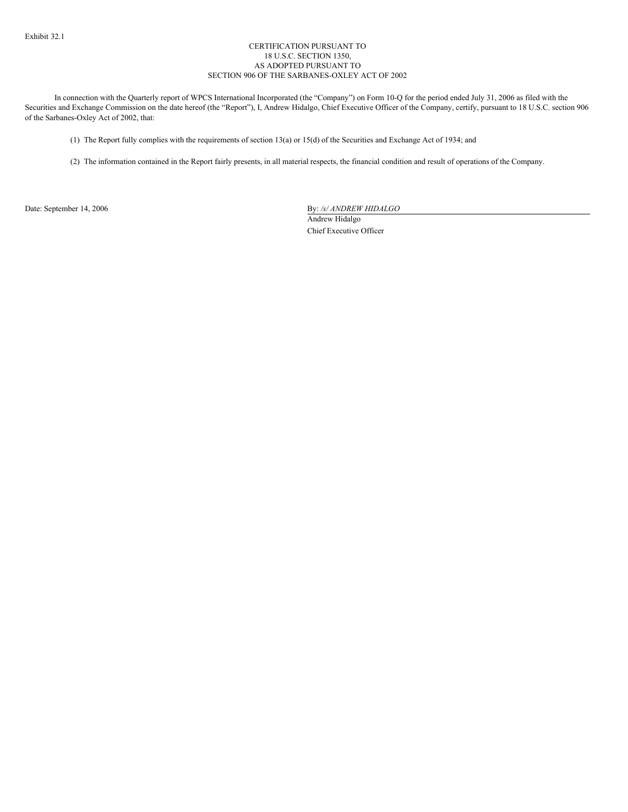### CERTIFICATION PURSUANT TO 18 U.S.C. SECTION 1350, AS ADOPTED PURSUANT TO SECTION 906 OF THE SARBANES-OXLEY ACT OF 2002

In connection with the Quarterly report of WPCS International Incorporated (the "Company") on Form 10-Q for the period ended July 31, 2006 as filed with the Securities and Exchange Commission on the date hereof (the "Report"), I, Andrew Hidalgo, Chief Executive Officer of the Company, certify, pursuant to 18 U.S.C. section 906 of the Sarbanes-Oxley Act of 2002, that:

(1) The Report fully complies with the requirements of section 13(a) or 15(d) of the Securities and Exchange Act of 1934; and

(2) The information contained in the Report fairly presents, in all material respects, the financial condition and result of operations of the Company.

Date: September 14, 2006 By: */s/ ANDREW HIDALGO*

Andrew Hidalgo Chief Executive Officer